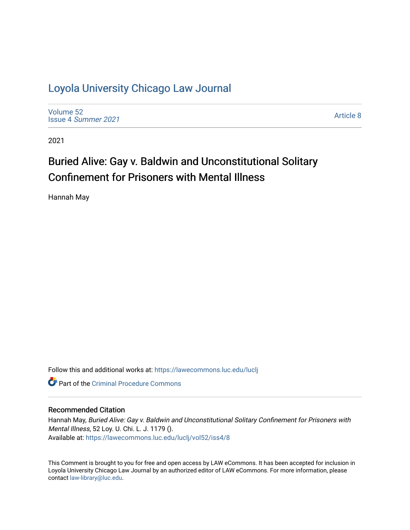# [Loyola University Chicago Law Journal](https://lawecommons.luc.edu/luclj)

[Volume 52](https://lawecommons.luc.edu/luclj/vol52) Issue 4 [Summer 2021](https://lawecommons.luc.edu/luclj/vol52/iss4) 

[Article 8](https://lawecommons.luc.edu/luclj/vol52/iss4/8) 

2021

# Buried Alive: Gay v. Baldwin and Unconstitutional Solitary Confinement for Prisoners with Mental Illness

Hannah May

Follow this and additional works at: [https://lawecommons.luc.edu/luclj](https://lawecommons.luc.edu/luclj?utm_source=lawecommons.luc.edu%2Fluclj%2Fvol52%2Fiss4%2F8&utm_medium=PDF&utm_campaign=PDFCoverPages) 

**C** Part of the Criminal Procedure Commons

# Recommended Citation

Hannah May, Buried Alive: Gay v. Baldwin and Unconstitutional Solitary Confinement for Prisoners with Mental Illness, 52 Loy. U. Chi. L. J. 1179 (). Available at: [https://lawecommons.luc.edu/luclj/vol52/iss4/8](https://lawecommons.luc.edu/luclj/vol52/iss4/8?utm_source=lawecommons.luc.edu%2Fluclj%2Fvol52%2Fiss4%2F8&utm_medium=PDF&utm_campaign=PDFCoverPages) 

This Comment is brought to you for free and open access by LAW eCommons. It has been accepted for inclusion in Loyola University Chicago Law Journal by an authorized editor of LAW eCommons. For more information, please contact [law-library@luc.edu.](mailto:law-library@luc.edu)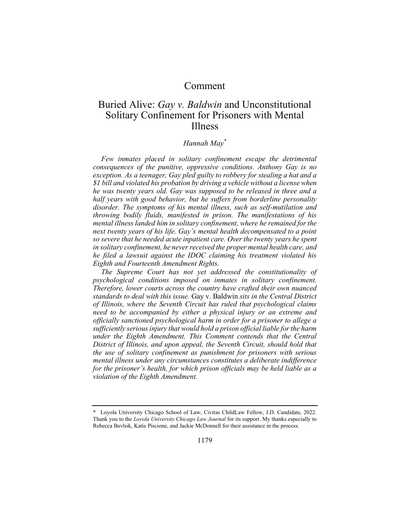# Comment

# Buried Alive: *Gay v. Baldwin* and Unconstitutional Solitary Confinement for Prisoners with Mental Illness

# *Hannah May\**

*Few inmates placed in solitary confinement escape the detrimental consequences of the punitive, oppressive conditions. Anthony Gay is no exception. As a teenager, Gay pled guilty to robbery for stealing a hat and a \$1 bill and violated his probation by driving a vehicle without a license when he was twenty years old. Gay was supposed to be released in three and a half years with good behavior, but he suffers from borderline personality disorder. The symptoms of his mental illness, such as self-mutilation and throwing bodily fluids, manifested in prison. The manifestations of his mental illness landed him in solitary confinement, where he remained for the next twenty years of his life. Gay's mental health decompensated to a point so severe that he needed acute inpatient care. Over the twenty years he spent in solitary confinement, he never received the proper mental health care, and he filed a lawsuit against the IDOC claiming his treatment violated his Eighth and Fourteenth Amendment Rights.*

*The Supreme Court has not yet addressed the constitutionality of psychological conditions imposed on inmates in solitary confinement. Therefore, lower courts across the country have crafted their own nuanced standards to deal with this issue.* Gay v. Baldwin *sits in the Central District of Illinois, where the Seventh Circuit has ruled that psychological claims need to be accompanied by either a physical injury or an extreme and officially sanctioned psychological harm in order for a prisoner to allege a sufficiently serious injury that would hold a prison official liable for the harm under the Eighth Amendment. This Comment contends that the Central District of Illinois, and upon appeal, the Seventh Circuit, should hold that the use of solitary confinement as punishment for prisoners with serious mental illness under any circumstances constitutes a deliberate indifference for the prisoner's health, for which prison officials may be held liable as a violation of the Eighth Amendment.*

<sup>\*</sup> Loyola University Chicago School of Law, Civitas ChildLaw Fellow, J.D. Candidate, 2022. Thank you to the *Loyola University Chicago Law Journal* for its support. My thanks especially to Rebecca Bavlsik, Katie Piscione, and Jackie McDonnell for their assistance in the process.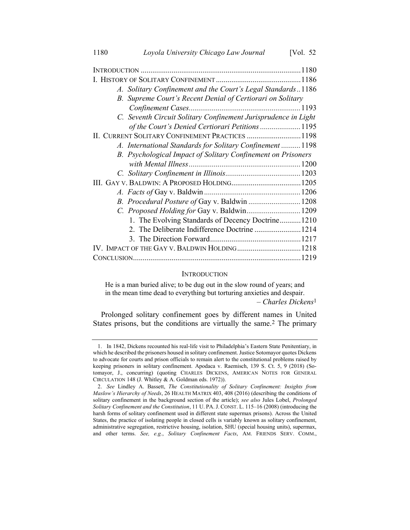| A. Solitary Confinement and the Court's Legal Standards1186    |  |
|----------------------------------------------------------------|--|
| B. Supreme Court's Recent Denial of Certiorari on Solitary     |  |
|                                                                |  |
| C. Seventh Circuit Solitary Confinement Jurisprudence in Light |  |
| of the Court's Denied Certiorari Petitions  1195               |  |
| II. CURRENT SOLITARY CONFINEMENT PRACTICES  1198               |  |
| A. International Standards for Solitary Confinement  1198      |  |
| B. Psychological Impact of Solitary Confinement on Prisoners   |  |
|                                                                |  |
|                                                                |  |
|                                                                |  |
|                                                                |  |
| B. Procedural Posture of Gay v. Baldwin  1208                  |  |
| C. Proposed Holding for Gay v. Baldwin 1209                    |  |
| 1. The Evolving Standards of Decency Doctrine 1210             |  |
| 2. The Deliberate Indifference Doctrine  1214                  |  |
|                                                                |  |
|                                                                |  |
|                                                                |  |
|                                                                |  |

#### **INTRODUCTION**

He is a man buried alive; to be dug out in the slow round of years; and in the mean time dead to everything but torturing anxieties and despair.

<span id="page-2-0"></span>*– Charles Dickens*1

Prolonged solitary confinement goes by different names in United States prisons, but the conditions are virtually the same.<sup>2</sup> The primary

<sup>1.</sup> In 1842, Dickens recounted his real-life visit to Philadelphia's Eastern State Penitentiary, in which he described the prisoners housed in solitary confinement. Justice Sotomayor quotes Dickens to advocate for courts and prison officials to remain alert to the constitutional problems raised by keeping prisoners in solitary confinement. Apodaca v. Raemisch, 139 S. Ct. 5, 9 (2018) (Sotomayor, J., concurring) (quoting CHARLES DICKENS, AMERICAN NOTES FOR GENERAL CIRCULATION 148 (J. Whitley & A. Goldman eds. 1972)).

<sup>2.</sup> *See* Lindley A. Bassett, *The Constitutionality of Solitary Confinement: Insights from Maslow's Hierarchy of Needs*, 26 HEALTH MATRIX 403, 408 (2016) (describing the conditions of solitary confinement in the background section of the article); *see also* Jules Lobel, *Prolonged Solitary Confinement and the Constitution*, 11 U. PA. J. CONST. L. 115–16 (2008) (introducing the harsh forms of solitary confinement used in different state supermax prisons). Across the United States, the practice of isolating people in closed cells is variably known as solitary confinement, administrative segregation, restrictive housing, isolation, SHU (special housing units), supermax, and other terms. *See, e.g.*, *Solitary Confinement Facts*, AM. FRIENDS SERV. COMM.,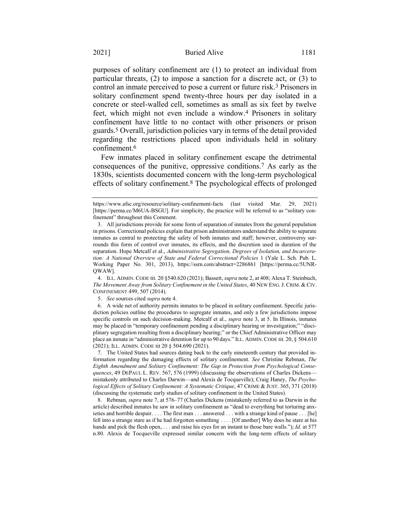<span id="page-3-1"></span><span id="page-3-0"></span>purposes of solitary confinement are (1) to protect an individual from particular threats, (2) to impose a sanction for a discrete act, or (3) to control an inmate perceived to pose a current or future risk.3 Prisoners in solitary confinement spend twenty-three hours per day isolated in a concrete or steel-walled cell, sometimes as small as six feet by twelve feet, which might not even include a window.4 Prisoners in solitary confinement have little to no contact with other prisoners or prison guards.5 Overall, jurisdiction policies vary in terms of the detail provided regarding the restrictions placed upon individuals held in solitary confinement.6

<span id="page-3-2"></span>Few inmates placed in solitary confinement escape the detrimental consequences of the punitive, oppressive conditions.7 As early as the 1830s, scientists documented concern with the long-term psychological effects of solitary confinement.8 The psychological effects of prolonged

4. ILL. ADMIN. CODE tit. 20 §540.620 (2021); Bassett, *supra* not[e 2,](#page-2-0) at 408; Alexa T. Steinbuch, *The Movement Away from Solitary Confinement in the United States*, 40 NEW ENG.J. CRIM. & CIV. CONFINEMENT 499, 507 (2014).

5. *See* sources cited *supra* note [4.](#page-3-0)

6. A wide net of authority permits inmates to be placed in solitary confinement. Specific jurisdiction policies outline the procedures to segregate inmates, and only a few jurisdictions impose specific controls on such decision-making. Metcalf et al., *supra* note [3,](#page-3-1) at 5. In Illinois, inmates may be placed in "temporary confinement pending a disciplinary hearing or investigation;" "disciplinary segregation resulting from a disciplinary hearing;" or the Chief Administrative Officer may place an inmate in "administrative detention for up to 90 days." ILL. ADMIN.CODE tit. 20, § 504.610 (2021); ILL. ADMIN. CODE tit 20 § 504.690 (2021).

7. The United States had sources dating back to the early nineteenth century that provided information regarding the damaging effects of solitary confinement. *See* Christine Rebman, *The Eighth Amendment and Solitary Confinement: The Gap in Protection from Psychological Consequences*, 49 DEPAUL L. REV. 567, 576 (1999) (discussing the observations of Charles Dickens mistakenly attributed to Charles Darwin—and Alexis de Tocqueville); Craig Haney, *The Psychological Effects of Solitary Confinement: A Systematic Critique*, 47 CRIME & JUST. 365, 371 (2018) (discussing the systematic early studies of solitary confinement in the United States).

8. Rebman, *supra* not[e 7,](#page-3-2) at 576–77 (Charles Dickens (mistakenly referred to as Darwin in the article) described inmates he saw in solitary confinement as "dead to everything but torturing anxieties and horrible despair. . . . The first man . . . answered . . . with a strange kind of pause . . . [he] fell into a strange stare as if he had forgotten something . . . . [Of another] Why does he stare at his hands and pick the flesh open, . . . and raise his eyes for an instant to those bare walls."); *Id.* at 577 [n.80.](#page-14-0) Alexis de Tocqueville expressed similar concern with the long-term effects of solitary

https://www.afsc.org/resource/solitary-confinement-facts (last visited Mar. 29, 2021) [https://perma.cc/M6UA-BSGU]. For simplicity, the practice will be referred to as "solitary confinement" throughout this Comment.

<sup>3.</sup> All jurisdictions provide for some form of separation of inmates from the general population in prisons. Correctional policies explain that prison administrators understand the ability to separate inmates as central to protecting the safety of both inmates and staff; however, controversy surrounds this form of control over inmates, its effects, and the discretion used in duration of the separation. Hope Metcalf et al., *Administrative Segregation, Degrees of Isolation, and Incarceration: A National Overview of State and Federal Correctional Policies* 1 (Yale L. Sch. Pub. L. Working Paper No. 301, 2013), https://ssrn.com/abstract=2286861 [https://perma.cc/5UNR-QWAW].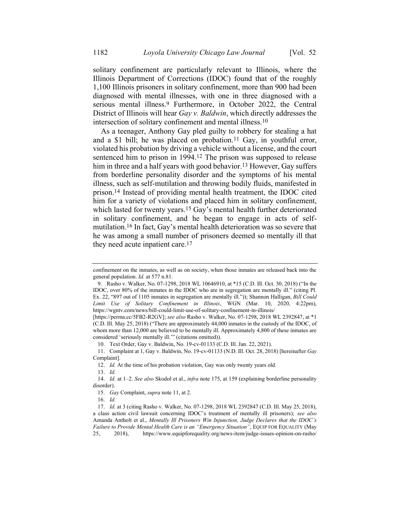solitary confinement are particularly relevant to Illinois, where the Illinois Department of Corrections (IDOC) found that of the roughly 1,100 Illinois prisoners in solitary confinement, more than 900 had been diagnosed with mental illnesses, with one in three diagnosed with a serious mental illness.<sup>9</sup> Furthermore, in October 2022, the Central District of Illinois will hear *Gay v. Baldwin*, which directly addresses the intersection of solitary confinement and mental illness.10

<span id="page-4-1"></span><span id="page-4-0"></span>As a teenager, Anthony Gay pled guilty to robbery for stealing a hat and a \$1 bill; he was placed on probation.<sup>11</sup> Gay, in youthful error, violated his probation by driving a vehicle without a license, and the court sentenced him to prison in 1994.12 The prison was supposed to release him in three and a half years with good behavior.<sup>13</sup> However, Gay suffers from borderline personality disorder and the symptoms of his mental illness, such as self-mutilation and throwing bodily fluids, manifested in prison.14 Instead of providing mental health treatment, the IDOC cited him for a variety of violations and placed him in solitary confinement, which lasted for twenty years.<sup>15</sup> Gay's mental health further deteriorated in solitary confinement, and he began to engage in acts of selfmutilation.16 In fact, Gay's mental health deterioration was so severe that he was among a small number of prisoners deemed so mentally ill that they need acute inpatient care.<sup>17</sup>

13. *Id.*

16. *Id.*

<span id="page-4-2"></span>confinement on the inmates, as well as on society, when those inmates are released back into the general population. *Id.* at 577 [n.81.](#page-14-1)

<sup>9.</sup> Rasho v. Walker, No. 07-1298, 2018 WL 10646910, at \*15 (C.D. Ill. Oct. 30, 2018) ("In the IDOC, over 80% of the inmates in the IDOC who are in segregation are mentally ill." (citing Pl. Ex. 22, "897 out of 1105 inmates in segregation are mentally ill.")); Shannon Halligan, *Bill Could Limit Use of Solitary Confinement in Illinois*, WGN (Mar. 10, 2020, 4:22pm), https://wgntv.com/news/bill-could-limit-use-of-solitary-confinement-in-illinois/

<sup>[</sup>https://perma.cc/5FB2-R2GV]; *see also* Rasho v. Walker, No. 07-1298, 2018 WL 2392847, at \*1 (C.D. Ill. May 25, 2018) ("There are approximately 44,000 inmates in the custody of the IDOC, of whom more than 12,000 are believed to be mentally ill. Approximately 4,800 of these inmates are considered 'seriously mentally ill.'" (citations omitted)).

<sup>10.</sup> Text Order, Gay v. Baldwin, No. 19-cv-01133 (C.D. Ill. Jan. 22, 2021).

<sup>11.</sup> Complaint at 1, Gay v. Baldwin, No. 19-cv-01133 (N.D. Ill. Oct. 28, 2018) [hereinafter *Gay*  Complaint].

<sup>12.</sup> *Id.* At the time of his probation violation, Gay was only twenty years old.

<sup>14.</sup> *Id.* at 1–2. *See also* Skodol et al., *infra* note [175,](#page-28-0) at 159 (explaining borderline personality disorder).

<sup>15.</sup> *Gay* Complaint, *supra* not[e 11,](#page-4-0) at 2.

<sup>17.</sup> *Id.* at 3 (citing Rasho v. Walker, No. 07-1298, 2018 WL 2392847 (C.D. Ill. May 25, 2018), a class action civil lawsuit concerning IDOC's treatment of mentally ill prisoners); *see also* Amanda Antholt et al., *Mentally Ill Prisoners Win Injunction, Judge Declares that the IDOC's Failure to Provide Mental Health Care is an "Emergency Situation"*, EQUIP FOR EQUALITY (May 25, 2018), <https://www.equipforequality.org/news-item/judge-issues-opinion-on-rasho/>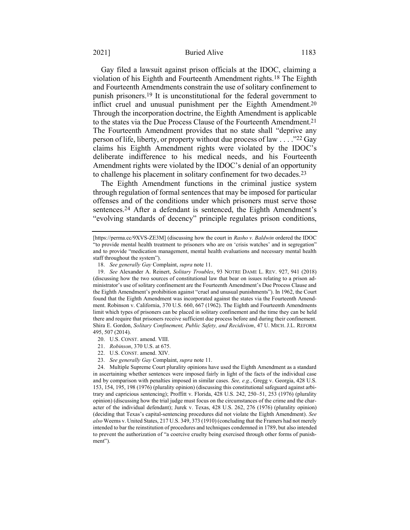#### 2021] Buried Alive 1183

<span id="page-5-0"></span>Gay filed a lawsuit against prison officials at the IDOC, claiming a violation of his Eighth and Fourteenth Amendment rights.18 The Eighth and Fourteenth Amendments constrain the use of solitary confinement to punish prisoners.19 It is unconstitutional for the federal government to inflict cruel and unusual punishment per the Eighth Amendment.20 Through the incorporation doctrine, the Eighth Amendment is applicable to the states via the Due Process Clause of the Fourteenth Amendment.21 The Fourteenth Amendment provides that no state shall "deprive any person of life, liberty, or property without due process of law  $\dots$ ."<sup>22</sup> Gay claims his Eighth Amendment rights were violated by the IDOC's deliberate indifference to his medical needs, and his Fourteenth Amendment rights were violated by the IDOC's denial of an opportunity to challenge his placement in solitary confinement for two decades.23

<span id="page-5-1"></span>The Eighth Amendment functions in the criminal justice system through regulation of formal sentences that may be imposed for particular offenses and of the conditions under which prisoners must serve those sentences.24 After a defendant is sentenced, the Eighth Amendment's "evolving standards of decency" principle regulates prison conditions,

- 20. U.S. CONST. amend. VIII.
- 21. *Robinson*, 370 U.S. at 675.
- 22. U.S. CONST. amend. XIV.
- 23. *See generally Gay* Complaint, *supra* not[e 11.](#page-4-0)

<sup>[</sup>https://perma.cc/9XVS-ZE3M] (discussing how the court in *Rasho v. Baldwin* ordered the IDOC "to provide mental health treatment to prisoners who are on 'crisis watches' and in segregation" and to provide "medication management, mental health evaluations and necessary mental health staff throughout the system").

<sup>18.</sup> *See generally Gay* Complaint, *supra* not[e 11.](#page-4-0)

<sup>19.</sup> *See* Alexander A. Reinert, *Solitary Troubles*, 93 NOTRE DAME L. REV. 927, 941 (2018) (discussing how the two sources of constitutional law that bear on issues relating to a prison administrator's use of solitary confinement are the Fourteenth Amendment's Due Process Clause and the Eighth Amendment's prohibition against "cruel and unusual punishments"). In 1962, the Court found that the Eighth Amendment was incorporated against the states via the Fourteenth Amendment. Robinson v. California, 370 U.S. 660, 667 (1962). The Eighth and Fourteenth Amendments limit which types of prisoners can be placed in solitary confinement and the time they can be held there and require that prisoners receive sufficient due process before and during their confinement. Shira E. Gordon, *Solitary Confinement, Public Safety, and Recidivism*, 47 U. MICH. J.L. REFORM 495, 507 (2014).

<sup>24.</sup> Multiple Supreme Court plurality opinions have used the Eighth Amendment as a standard in ascertaining whether sentences were imposed fairly in light of the facts of the individual case and by comparison with penalties imposed in similar cases. *See, e.g.*, Gregg v. Georgia, 428 U.S. 153, 154, 195, 198 (1976) (plurality opinion) (discussing this constitutional safeguard against arbitrary and capricious sentencing); Proffitt v. Florida, 428 U.S. 242, 250–51, 253 (1976) (plurality opinion) (discussing how the trial judge must focus on the circumstances of the crime and the character of the individual defendant); Jurek v. Texas, 428 U.S. 262, 276 (1976) (plurality opinion) (deciding that Texas's capital-sentencing procedures did not violate the Eighth Amendment). *See also* Weems v. United States, 217 U.S. 349, 373 (1910) (concluding that the Framers had not merely intended to bar the reinstitution of procedures and techniques condemned in 1789, but also intended to prevent the authorization of "a coercive cruelty being exercised through other forms of punishment").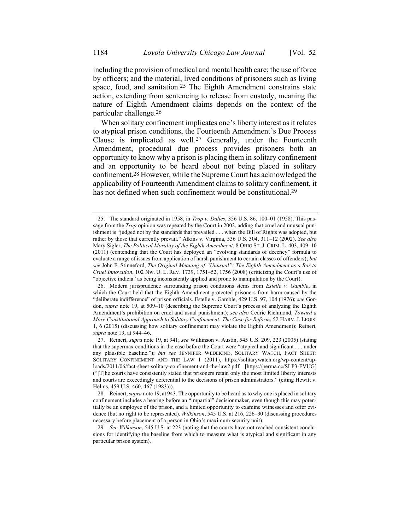including the provision of medical and mental health care; the use of force by officers; and the material, lived conditions of prisoners such as living space, food, and sanitation.<sup>25</sup> The Eighth Amendment constrains state action, extending from sentencing to release from custody, meaning the nature of Eighth Amendment claims depends on the context of the particular challenge.26

When solitary confinement implicates one's liberty interest as it relates to atypical prison conditions, the Fourteenth Amendment's Due Process Clause is implicated as well.27 Generally, under the Fourteenth Amendment, procedural due process provides prisoners both an opportunity to know why a prison is placing them in solitary confinement and an opportunity to be heard about not being placed in solitary confinement.28 However, while the Supreme Court has acknowledged the applicability of Fourteenth Amendment claims to solitary confinement, it has not defined when such confinement would be constitutional.<sup>29</sup>

<span id="page-6-0"></span><sup>25.</sup> The standard originated in 1958, in *Trop v. Dulles*, 356 U.S. 86, 100–01 (1958). This passage from the *Trop* opinion was repeated by the Court in 2002, adding that cruel and unusual punishment is "judged not by the standards that prevailed . . . when the Bill of Rights was adopted, but rather by those that currently prevail." Atkins v. Virginia, 536 U.S. 304, 311–12 (2002). *See also* Mary Sigler, *The Political Morality of the Eighth Amendment*, 8 OHIO ST.J. CRIM. L. 403, 409–10 (2011) (contending that the Court has deployed an "evolving standards of decency" formula to evaluate a range of issues from application of harsh punishment to certain classes of offenders); *but see* John F. Stinneford, *The Original Meaning of "Unusual": The Eighth Amendment as a Bar to Cruel Innovation*, 102 Nw. U. L. REV. 1739, 1751–52, 1756 (2008) (criticizing the Court's use of "objective indicia" as being inconsistently applied and prone to manipulation by the Court).

<sup>26.</sup> Modern jurisprudence surrounding prison conditions stems from *Estelle v. Gamble*, in which the Court held that the Eighth Amendment protected prisoners from harm caused by the "deliberate indifference" of prison officials. Estelle v. Gamble, 429 U.S. 97, 104 (1976); *see* Gordon, *supra* note [19,](#page-5-0) at 509–10 (describing the Supreme Court's process of analyzing the Eighth Amendment's prohibition on cruel and usual punishment); *see also* Cedric Richmond, *Toward a More Constitutional Approach to Solitary Confinement: The Case for Reform*, 52 HARV. J. LEGIS. 1, 6 (2015) (discussing how solitary confinement may violate the Eighth Amendment); Reinert, *supra* not[e 19,](#page-5-0) at 944–46.

<sup>27.</sup> Reinert, *supra* note [19,](#page-5-0) at 941; *see* Wilkinson v. Austin, 545 U.S. 209, 223 (2005) (stating that the supermax conditions in the case before the Court were "atypical and significant . . . under any plausible baseline."); *but see* JENNIFER WEDEKIND, SOLITARY WATCH, FACT SHEET: SOLITARY CONFINEMENT AND THE LAW 1 (2011), https://solitarywatch.org/wp-content/uploads/2011/06/fact-sheet-solitary-confinement-and-the-law2.pdf [https://perma.cc/SLP3-FVUG] ("[T]he courts have consistently stated that prisoners retain only the most limited liberty interests and courts are exceedingly deferential to the decisions of prison administrators." (citing Hewitt v. Helms, 459 U.S. 460, 467 (1983))).

<sup>28.</sup> Reinert, *supra* not[e 19,](#page-5-0) at 943. The opportunity to be heard as to why one is placed in solitary confinement includes a hearing before an "impartial" decisionmaker, even though this may potentially be an employee of the prison, and a limited opportunity to examine witnesses and offer evidence (but no right to be represented). *Wilkinson*, 545 U.S. at 216, 226–30 (discussing procedures necessary before placement of a person in Ohio's maximum-security unit).

<sup>29</sup>*. See Wilkinson*, 545 U.S. at 223 (noting that the courts have not reached consistent conclusions for identifying the baseline from which to measure what is atypical and significant in any particular prison system).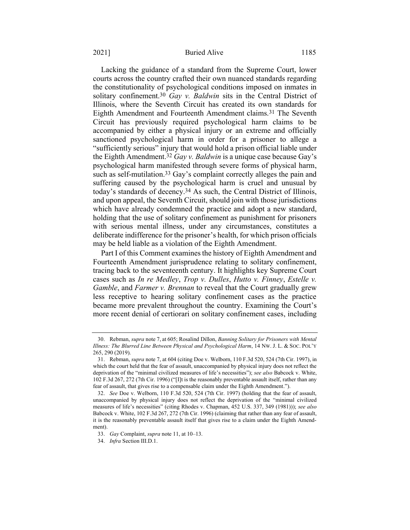#### 2021] Buried Alive 1185

<span id="page-7-0"></span>Lacking the guidance of a standard from the Supreme Court, lower courts across the country crafted their own nuanced standards regarding the constitutionality of psychological conditions imposed on inmates in solitary confinement.30 *Gay v. Baldwin* sits in the Central District of Illinois, where the Seventh Circuit has created its own standards for Eighth Amendment and Fourteenth Amendment claims.31 The Seventh Circuit has previously required psychological harm claims to be accompanied by either a physical injury or an extreme and officially sanctioned psychological harm in order for a prisoner to allege a "sufficiently serious" injury that would hold a prison official liable under the Eighth Amendment.32 *Gay v. Baldwin* is a unique case because Gay's psychological harm manifested through severe forms of physical harm, such as self-mutilation.<sup>33</sup> Gay's complaint correctly alleges the pain and suffering caused by the psychological harm is cruel and unusual by today's standards of decency.34 As such, the Central District of Illinois, and upon appeal, the Seventh Circuit, should join with those jurisdictions which have already condemned the practice and adopt a new standard, holding that the use of solitary confinement as punishment for prisoners with serious mental illness, under any circumstances, constitutes a deliberate indifference for the prisoner's health, for which prison officials may be held liable as a violation of the Eighth Amendment.

Part I of this Comment examines the history of Eighth Amendment and Fourteenth Amendment jurisprudence relating to solitary confinement, tracing back to the seventeenth century. It highlights key Supreme Court cases such as *In re Medley*, *Trop v. Dulles*, *Hutto v. Finney*, *Estelle v. Gamble*, and *Farmer v. Brennan* to reveal that the Court gradually grew less receptive to hearing solitary confinement cases as the practice became more prevalent throughout the country. Examining the Court's more recent denial of certiorari on solitary confinement cases, including

<sup>30.</sup> Rebman, *supra* not[e 7,](#page-3-2) at 605; Rosalind Dillon, *Banning Solitary for Prisoners with Mental Illness: The Blurred Line Between Physical and Psychological Harm*, 14 NW. J. L. & SOC. POL'Y 265, 290 (2019).

<sup>31.</sup> Rebman, *supra* not[e 7,](#page-3-2) at 604 (citing Doe v. Welborn, 110 F.3d 520, 524 (7th Cir. 1997), in which the court held that the fear of assault, unaccompanied by physical injury does not reflect the deprivation of the "minimal civilized measures of life's necessities"); *see also* Babcock v. White, 102 F.3d 267, 272 (7th Cir. 1996) ("[I]t is the reasonably preventable assault itself, rather than any fear of assault, that gives rise to a compensable claim under the Eighth Amendment.").

<sup>32.</sup> *See* Doe v. Welborn, 110 F.3d 520, 524 (7th Cir. 1997) (holding that the fear of assault, unaccompanied by physical injury does not reflect the deprivation of the "minimal civilized measures of life's necessities" (citing Rhodes v. Chapman, 452 U.S. 337, 349 (1981))); *see also*  Babcock v. White, 102 F.3d 267, 272 (7th Cir. 1996) (claiming that rather than any fear of assault, it is the reasonably preventable assault itself that gives rise to a claim under the Eighth Amendment).

<sup>33.</sup> *Gay* Complaint, *supra* not[e 11,](#page-4-0) at 10–13.

<sup>34.</sup> *Infra* Section III.D.1.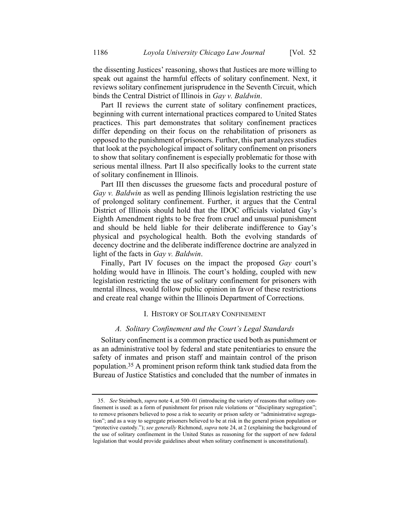the dissenting Justices' reasoning, shows that Justices are more willing to speak out against the harmful effects of solitary confinement. Next, it reviews solitary confinement jurisprudence in the Seventh Circuit, which binds the Central District of Illinois in *Gay v. Baldwin*.

Part II reviews the current state of solitary confinement practices, beginning with current international practices compared to United States practices. This part demonstrates that solitary confinement practices differ depending on their focus on the rehabilitation of prisoners as opposed to the punishment of prisoners. Further, this part analyzes studies that look at the psychological impact of solitary confinement on prisoners to show that solitary confinement is especially problematic for those with serious mental illness. Part II also specifically looks to the current state of solitary confinement in Illinois.

Part III then discusses the gruesome facts and procedural posture of *Gay v. Baldwin* as well as pending Illinois legislation restricting the use of prolonged solitary confinement. Further, it argues that the Central District of Illinois should hold that the IDOC officials violated Gay's Eighth Amendment rights to be free from cruel and unusual punishment and should be held liable for their deliberate indifference to Gay's physical and psychological health. Both the evolving standards of decency doctrine and the deliberate indifference doctrine are analyzed in light of the facts in *Gay v. Baldwin*.

Finally, Part IV focuses on the impact the proposed *Gay* court's holding would have in Illinois. The court's holding, coupled with new legislation restricting the use of solitary confinement for prisoners with mental illness, would follow public opinion in favor of these restrictions and create real change within the Illinois Department of Corrections.

### I. HISTORY OF SOLITARY CONFINEMENT

### *A. Solitary Confinement and the Court's Legal Standards*

Solitary confinement is a common practice used both as punishment or as an administrative tool by federal and state penitentiaries to ensure the safety of inmates and prison staff and maintain control of the prison population.35 A prominent prison reform think tank studied data from the Bureau of Justice Statistics and concluded that the number of inmates in

<sup>35.</sup> *See* Steinbuch, *supra* not[e 4,](#page-3-0) at 500–01 (introducing the variety of reasons that solitary confinement is used: as a form of punishment for prison rule violations or "disciplinary segregation"; to remove prisoners believed to pose a risk to security or prison safety or "administrative segregation"; and as a way to segregate prisoners believed to be at risk in the general prison population or "protective custody."); *see generally* Richmond, *supra* not[e 24,](#page-5-1) at 2 (explaining the background of the use of solitary confinement in the United States as reasoning for the support of new federal legislation that would provide guidelines about when solitary confinement is unconstitutional).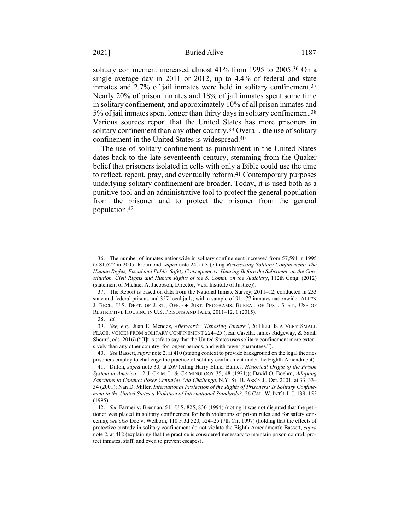<span id="page-9-1"></span>solitary confinement increased almost 41% from 1995 to 2005. 36 On a single average day in 2011 or 2012, up to 4.4% of federal and state inmates and 2.7% of jail inmates were held in solitary confinement.37 Nearly 20% of prison inmates and 18% of jail inmates spent some time in solitary confinement, and approximately 10% of all prison inmates and 5% of jail inmates spent longer than thirty days in solitary confinement.38 Various sources report that the United States has more prisoners in solitary confinement than any other country.<sup>39</sup> Overall, the use of solitary confinement in the United States is widespread. 40

<span id="page-9-0"></span>The use of solitary confinement as punishment in the United States dates back to the late seventeenth century, stemming from the Quaker belief that prisoners isolated in cells with only a Bible could use the time to reflect, repent, pray, and eventually reform.41 Contemporary purposes underlying solitary confinement are broader. Today, it is used both as a punitive tool and an administrative tool to protect the general population from the prisoner and to protect the prisoner from the general population.42

<sup>36.</sup> The number of inmates nationwide in solitary confinement increased from 57,591 in 1995 to 81,622 in 2005. Richmond, *supra* note [24,](#page-5-1) at 3 (citing *Reassessing Solitary Confinement: The Human Rights, Fiscal and Public Safety Consequences: Hearing Before the Subcomm. on the Constitution, Civil Rights and Human Rights of the S. Comm. on the Judiciary*, 112th Cong. (2012) (statement of Michael A. Jacobson, Director, Vera Institute of Justice)).

<sup>37.</sup> The Report is based on data from the National Inmate Survey, 2011–12, conducted in 233 state and federal prisons and 357 local jails, with a sample of 91,177 inmates nationwide. ALLEN J. BECK, U.S. DEPT. OF JUST., OFF. OF JUST. PROGRAMS, BUREAU OF JUST. STAT., USE OF RESTRICTIVE HOUSING IN U.S. PRISONS AND JAILS, 2011–12, 1 (2015).

<sup>38.</sup> *Id.*

<sup>39.</sup> *See, e.g.*, Juan E. Méndez, *Afterword: "Exposing Torture"*, *in* HELL IS A VERY SMALL PLACE: VOICES FROM SOLITARY CONFINEMENT 224–25 (Jean Casella, James Ridgeway, & Sarah Shourd, eds. 2016) ("[I]t is safe to say that the United States uses solitary confinement more extensively than any other country, for longer periods, and with fewer guarantees.").

<sup>40.</sup> *See* Bassett, *supra* not[e 2,](#page-2-0) at 410 (stating context to provide background on the legal theories prisoners employ to challenge the practice of solitary confinement under the Eighth Amendment).

<sup>41.</sup> Dillon, *supra* note [30,](#page-7-0) at 269 (citing Harry Elmer Barnes, *Historical Origin of the Prison System in America*, 12 J. CRIM. L. & CRIMINOLOGY 35, 48 (1921)); David O. Boehm, *Adapting Sanctions to Conduct Poses Centuries-Old Challenge*, N.Y. ST. B. ASS'N J., Oct. 2001, at 33, 33– 34 (2001); Nan D. Miller, *International Protection of the Rights of Prisoners: Is Solitary Confinement in the United States a Violation of International Standards?*, 26 CAL. W. INT'L L.J. 139, 155 (1995).

<sup>42.</sup> *See* Farmer v. Brennan, 511 U.S. 825, 830 (1994) (noting it was not disputed that the petitioner was placed in solitary confinement for both violations of prison rules and for safety concerns); *see also* Doe v. Welborn, 110 F.3d 520, 524–25 (7th Cir. 1997) (holding that the effects of protective custody in solitary confinement do not violate the Eighth Amendment); Bassett, *supra* note [2,](#page-2-0) at 412 (explaining that the practice is considered necessary to maintain prison control, protect inmates, staff, and even to prevent escapes).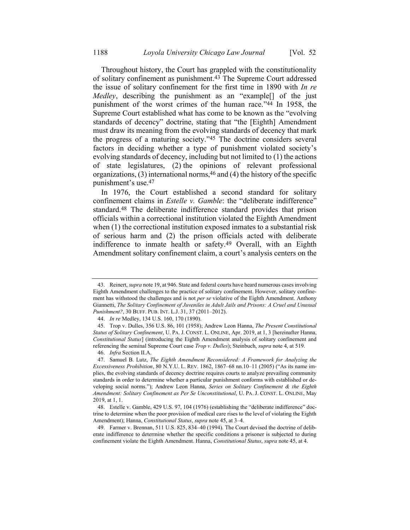<span id="page-10-0"></span>Throughout history, the Court has grappled with the constitutionality of solitary confinement as punishment.43 The Supreme Court addressed the issue of solitary confinement for the first time in 1890 with *In re Medley*, describing the punishment as an "example[] of the just punishment of the worst crimes of the human race."44 In 1958, the Supreme Court established what has come to be known as the "evolving standards of decency" doctrine, stating that "the [Eighth] Amendment must draw its meaning from the evolving standards of decency that mark the progress of a maturing society."45 The doctrine considers several factors in deciding whether a type of punishment violated society's evolving standards of decency, including but not limited to (1) the actions of state legislatures, (2) the opinions of relevant professional organizations,  $(3)$  international norms,  $46$  and  $(4)$  the history of the specific punishment's use.47

<span id="page-10-1"></span>In 1976, the Court established a second standard for solitary confinement claims in *Estelle v. Gamble*: the "deliberate indifference" standard.48 The deliberate indifference standard provides that prison officials within a correctional institution violated the Eighth Amendment when (1) the correctional institution exposed inmates to a substantial risk of serious harm and (2) the prison officials acted with deliberate indifference to inmate health or safety.49 Overall, with an Eighth Amendment solitary confinement claim, a court's analysis centers on the

<sup>43.</sup> Reinert, *supra* not[e 19,](#page-5-0) at 946. State and federal courts have heard numerous cases involving Eighth Amendment challenges to the practice of solitary confinement. However, solitary confinement has withstood the challenges and is not *per se* violative of the Eighth Amendment. Anthony Giannetti, *The Solitary Confinement of Juveniles in Adult Jails and Prisons: A Cruel and Unusual Punishment?*, 30 BUFF. PUB. INT. L.J. 31, 37 (2011–2012).

<sup>44.</sup> *In re* Medley, 134 U.S. 160, 170 (1890).

<sup>45.</sup> Trop v. Dulles, 356 U.S. 86, 101 (1958); Andrew Leon Hanna, *The Present Constitutional Status of Solitary Confinement*, U. PA. J. CONST. L. ONLINE, Apr. 2019, at 1, 3 [hereinafter Hanna, *Constitutional Status*] (introducing the Eighth Amendment analysis of solitary confinement and referencing the seminal Supreme Court case *Trop v. Dulles*); Steinbuch, *supra* not[e 4,](#page-3-0) at 519.

<sup>46.</sup> *Infra* Section II.A.

<sup>47.</sup> Samuel B. Lutz, *The Eighth Amendment Reconsidered: A Framework for Analyzing the Excessiveness Prohibition*, 80 N.Y.U. L. REV. 1862, 1867–68 nn.10–11 (2005) ("As its name implies, the evolving standards of decency doctrine requires courts to analyze prevailing community standards in order to determine whether a particular punishment conforms with established or developing social norms."); Andrew Leon Hanna, *Series on Solitary Confinement & the Eighth Amendment: Solitary Confinement as Per Se Unconstitutional*, U. PA. J. CONST. L. ONLINE, May 2019, at 1, 1.

<sup>48.</sup> Estelle v. Gamble, 429 U.S. 97, 104 (1976) (establishing the "deliberate indifference" doctrine to determine when the poor provision of medical care rises to the level of violating the Eighth Amendment); Hanna, *Constitutional Status*, *supra* note [45,](#page-10-0) at 3–4.

<sup>49.</sup> Farmer v. Brennan, 511 U.S. 825, 834–40 (1994). The Court devised the doctrine of deliberate indifference to determine whether the specific conditions a prisoner is subjected to during confinement violate the Eighth Amendment. Hanna, *Constitutional Status*, *supra* note [45,](#page-10-0) at 4.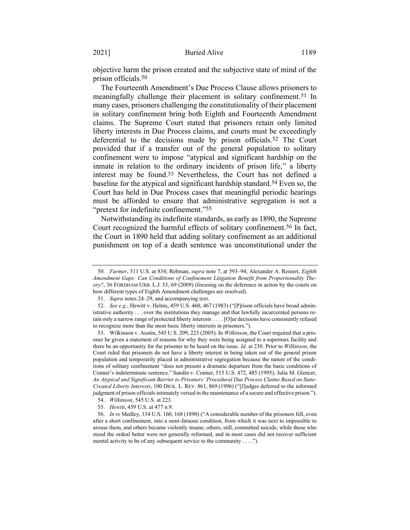objective harm the prison created and the subjective state of mind of the prison officials.50

The Fourteenth Amendment's Due Process Clause allows prisoners to meaningfully challenge their placement in solitary confinement.51 In many cases, prisoners challenging the constitutionality of their placement in solitary confinement bring both Eighth and Fourteenth Amendment claims. The Supreme Court stated that prisoners retain only limited liberty interests in Due Process claims, and courts must be exceedingly deferential to the decisions made by prison officials.52 The Court provided that if a transfer out of the general population to solitary confinement were to impose "atypical and significant hardship on the inmate in relation to the ordinary incidents of prison life," a liberty interest may be found.53 Nevertheless, the Court has not defined a baseline for the atypical and significant hardship standard.54 Even so, the Court has held in Due Process cases that meaningful periodic hearings must be afforded to ensure that administrative segregation is not a "pretext for indefinite confinement."55

<span id="page-11-0"></span>Notwithstanding its indefinite standards, as early as 1890, the Supreme Court recognized the harmful effects of solitary confinement.56 In fact, the Court in 1890 held that adding solitary confinement as an additional punishment on top of a death sentence was unconstitutional under the

<sup>50.</sup> *Farmer*, 511 U.S. at 834; Rebman, *supra* note [7,](#page-3-2) at 593–94; Alexander A. Reinert, *Eighth Amendment Gaps: Can Conditions of Confinement Litigation Benefit from Proportionality Theory?*, 36 FORDHAM URB. L.J. 53, 69 (2009) (focusing on the deference in action by the courts on how different types of Eighth Amendment challenges are resolved).

<sup>51.</sup> *Supra* notes [24](#page-5-1)–[29,](#page-6-0) and accompanying text.

<sup>52.</sup> *See e.g.*, Hewitt v. Helms, 459 U.S. 460, 467 (1983) ("[P]rison officials have broad administrative authority . . . over the institutions they manage and that lawfully incarcerated persons retain only a narrow range of protected liberty interests . . . . [O]ur decisions have consistently refused to recognize more than the most basic liberty interests in prisoners.").

<sup>53.</sup> Wilkinson v. Austin, 545 U.S. 209, 223 (2005). In *Wilkinson*, the Court required that a prisoner be given a statement of reasons for why they were being assigned to a supermax facility and there be an opportunity for the prisoner to be heard on the issue. *Id.* at 230. Prior to *Wilkinson*, the Court ruled that prisoners do not have a liberty interest in being taken out of the general prison population and temporarily placed in administrative segregation because the nature of the conditions of solitary confinement "does not present a dramatic departure from the basic conditions of Conner's indeterminate sentence." Sandin v. Conner, 515 U.S. 472, 485 (1995); Julia M. Glencer, *An Atypical and Significant Barrier to Prisoners' Procedural Due Process Claims Based on State-Created Liberty Interests*, 100 DICK. L. REV. 861, 869 (1996) ("[J]udges deferred to the informed judgment of prison officials intimately versed in the maintenance of a secure and effective prison.").

<sup>54.</sup> *Wilkinson*, 545 U.S. at 223.

<sup>55.</sup> *Hewitt*, 459 U.S. at 477 n.9.

<sup>56.</sup> *In re* Medley, 134 U.S. 160, 168 (1890) ("A considerable number of the prisoners fell, even after a short confinement, into a semi-fatuous condition, from which it was next to impossible to arouse them, and others became violently insane, others, still, committed suicide, while those who stood the ordeal better were not generally reformed, and in most cases did not recover sufficient mental activity to be of any subsequent service to the community . . . .").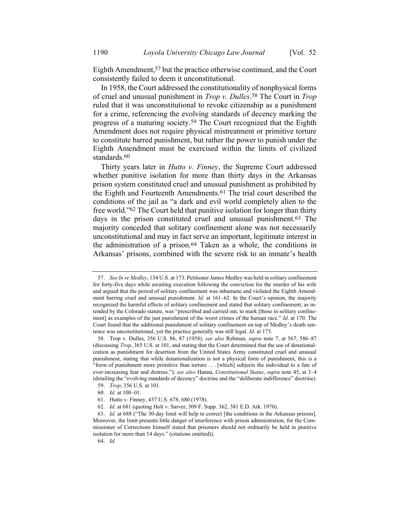Eighth Amendment,<sup>57</sup> but the practice otherwise continued, and the Court consistently failed to deem it unconstitutional.

In 1958, the Court addressed the constitutionality of nonphysical forms of cruel and unusual punishment in *Trop v. Dulles*. 58 The Court in *Trop*  ruled that it was unconstitutional to revoke citizenship as a punishment for a crime, referencing the evolving standards of decency marking the progress of a maturing society.59 The Court recognized that the Eighth Amendment does not require physical mistreatment or primitive torture to constitute barred punishment, but rather the power to punish under the Eighth Amendment must be exercised within the limits of civilized standards.<sup>60</sup>

Thirty years later in *Hutto v. Finney*, the Supreme Court addressed whether punitive isolation for more than thirty days in the Arkansas prison system constituted cruel and unusual punishment as prohibited by the Eighth and Fourteenth Amendments.61 The trial court described the conditions of the jail as "a dark and evil world completely alien to the free world."62 The Court held that punitive isolation for longer than thirty days in the prison constituted cruel and unusual punishment.63 The majority conceded that solitary confinement alone was not necessarily unconstitutional and may in fact serve an important, legitimate interest in the administration of a prison.<sup>64</sup> Taken as a whole, the conditions in Arkansas' prisons, combined with the severe risk to an inmate's health

64. *Id.*

<sup>57.</sup> *See In re Medley*, 134 U.S. at 173. Petitioner James Medley was held in solitary confinement for forty-five days while awaiting execution following the conviction for the murder of his wife and argued that the period of solitary confinement was inhumane and violated the Eighth Amendment barring cruel and unusual punishment. *Id.* at 161–62. In the Court's opinion, the majority recognized the harmful effects of solitary confinement and stated that solitary confinement, as intended by the Colorado statute, was "prescribed and carried out, to mark [those in solitary confinement] as examples of the just punishment of the worst crimes of the human race." *Id.* at 170. The Court found that the additional punishment of solitary confinement on top of Medley's death sentence was unconstitutional, yet the practice generally was still legal. *Id.* at 173.

<sup>58.</sup> Trop v. Dulles, 356 U.S. 86, 87 (1958); *see also* Rebman, *supra* note [7,](#page-3-2) at 567, 586–87 (discussing *Trop*, 365 U.S. at 101, and stating that the Court determined that the use of denationalization as punishment for desertion from the United States Army constituted cruel and unusual punishment, stating that while denationalization is not a physical form of punishment, this is a "form of punishment more primitive than torture . . . [which] subjects the individual to a fate of ever-increasing fear and distress."); *see also* Hanna, *Constitutional Status*, *supra* note [45,](#page-10-0) at 3–4 (detailing the "evolving standards of decency" doctrine and the "deliberate indifference" doctrine).

<sup>59.</sup> *Trop*, 356 U.S. at 101.

<sup>60.</sup> *Id.* at 100–01.

<sup>61.</sup> Hutto v. Finney, 437 U.S. 678, 680 (1978).

<sup>62.</sup> *Id.* at 681 (quoting Holt v. Sarver, 309 F. Supp. 362, 381 E.D. Ark. 1970).

<sup>63.</sup> *Id.* at 688 ("The 30-day limit will help to correct [the conditions in the Arkansas prisons]. Moreover, the limit presents little danger of interference with prison administration, for the Commissioner of Corrections himself stated that prisoners should not ordinarily be held in punitive isolation for more than 14 days." (citations omitted)).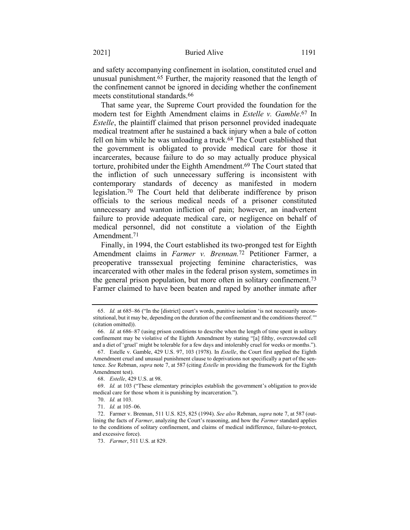and safety accompanying confinement in isolation, constituted cruel and unusual punishment.65 Further, the majority reasoned that the length of the confinement cannot be ignored in deciding whether the confinement meets constitutional standards.66

<span id="page-13-0"></span>That same year, the Supreme Court provided the foundation for the modern test for Eighth Amendment claims in *Estelle v. Gamble*. 67 In *Estelle*, the plaintiff claimed that prison personnel provided inadequate medical treatment after he sustained a back injury when a bale of cotton fell on him while he was unloading a truck.<sup>68</sup> The Court established that the government is obligated to provide medical care for those it incarcerates, because failure to do so may actually produce physical torture, prohibited under the Eighth Amendment.69 The Court stated that the infliction of such unnecessary suffering is inconsistent with contemporary standards of decency as manifested in modern legislation.70 The Court held that deliberate indifference by prison officials to the serious medical needs of a prisoner constituted unnecessary and wanton infliction of pain; however, an inadvertent failure to provide adequate medical care, or negligence on behalf of medical personnel, did not constitute a violation of the Eighth Amendment.71

Finally, in 1994, the Court established its two-pronged test for Eighth Amendment claims in *Farmer v. Brennan.*72 Petitioner Farmer, a preoperative transsexual projecting feminine characteristics, was incarcerated with other males in the federal prison system, sometimes in the general prison population, but more often in solitary confinement.73 Farmer claimed to have been beaten and raped by another inmate after

<sup>65.</sup> *Id.* at 685–86 ("In the [district] court's words, punitive isolation 'is not necessarily unconstitutional, but it may be, depending on the duration of the confinement and the conditions thereof.'" (citation omitted)).

<sup>66.</sup> *Id.* at 686–87 (using prison conditions to describe when the length of time spent in solitary confinement may be violative of the Eighth Amendment by stating "[a] filthy, overcrowded cell and a diet of 'gruel' might be tolerable for a few days and intolerably cruel for weeks or months.").

<sup>67.</sup> Estelle v. Gamble, 429 U.S. 97, 103 (1978). In *Estelle*, the Court first applied the Eighth Amendment cruel and unusual punishment clause to deprivations not specifically a part of the sentence. *See* Rebman, *supra* note [7,](#page-3-2) at 587 (citing *Estelle* in providing the framework for the Eighth Amendment test).

<sup>68.</sup> *Estelle*, 429 U.S. at 98.

<sup>69.</sup> *Id.* at 103 ("These elementary principles establish the government's obligation to provide medical care for those whom it is punishing by incarceration.").

<sup>70.</sup> *Id.* at 103.

<sup>71.</sup> *Id.* at 105–06.

<sup>72.</sup> Farmer v. Brennan, 511 U.S. 825, 825 (1994). *See also* Rebman, *supra* note [7,](#page-3-2) at 587 (outlining the facts of *Farmer*, analyzing the Court's reasoning, and how the *Farmer* standard applies to the conditions of solitary confinement, and claims of medical indifference, failure-to-protect, and excessive force).

<sup>73.</sup> *Farmer*, 511 U.S. at 829.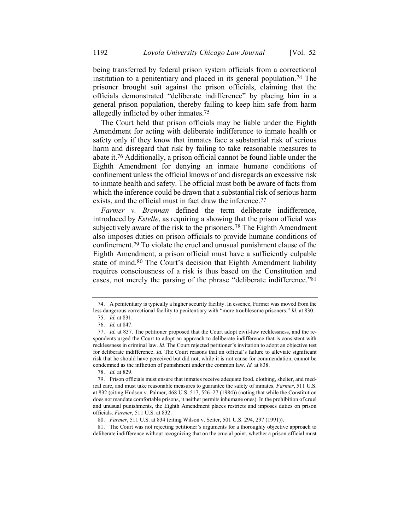being transferred by federal prison system officials from a correctional institution to a penitentiary and placed in its general population.74 The prisoner brought suit against the prison officials, claiming that the officials demonstrated "deliberate indifference" by placing him in a general prison population, thereby failing to keep him safe from harm allegedly inflicted by other inmates.75

The Court held that prison officials may be liable under the Eighth Amendment for acting with deliberate indifference to inmate health or safety only if they know that inmates face a substantial risk of serious harm and disregard that risk by failing to take reasonable measures to abate it.76 Additionally, a prison official cannot be found liable under the Eighth Amendment for denying an inmate humane conditions of confinement unless the official knows of and disregards an excessive risk to inmate health and safety. The official must both be aware of facts from which the inference could be drawn that a substantial risk of serious harm exists, and the official must in fact draw the inference.<sup>77</sup>

*Farmer v. Brennan* defined the term deliberate indifference, introduced by *Estelle*, as requiring a showing that the prison official was subjectively aware of the risk to the prisoners.78 The Eighth Amendment also imposes duties on prison officials to provide humane conditions of confinement. 79 To violate the cruel and unusual punishment clause of the Eighth Amendment, a prison official must have a sufficiently culpable state of mind.80 The Court's decision that Eighth Amendment liability requires consciousness of a risk is thus based on the Constitution and cases, not merely the parsing of the phrase "deliberate indifference."81

81. The Court was not rejecting petitioner's arguments for a thoroughly objective approach to deliberate indifference without recognizing that on the crucial point, whether a prison official must

<span id="page-14-0"></span><sup>74.</sup> A penitentiary is typically a higher security facility. In essence, Farmer was moved from the less dangerous correctional facility to penitentiary with "more troublesome prisoners." *Id.* at 830.

<span id="page-14-1"></span><sup>75.</sup> *Id.* at 831.

<sup>76.</sup> *Id.* at 847.

<sup>77.</sup> *Id.* at 837. The petitioner proposed that the Court adopt civil-law recklessness, and the respondents urged the Court to adopt an approach to deliberate indifference that is consistent with recklessness in criminal law. *Id.* The Court rejected petitioner's invitation to adopt an objective test for deliberate indifference. *Id.* The Court reasons that an official's failure to alleviate significant risk that he should have perceived but did not, while it is not cause for commendation, cannot be condemned as the infliction of punishment under the common law. *Id.* at 838.

<sup>78.</sup> *Id.* at 829.

<sup>79.</sup> Prison officials must ensure that inmates receive adequate food, clothing, shelter, and medical care, and must take reasonable measures to guarantee the safety of inmates. *Farmer*, 511 U.S. at 832 (citing Hudson v. Palmer, 468 U.S. 517, 526–27 (1984)) (noting that while the Constitution does not mandate comfortable prisons, it neither permits inhumane ones). In the prohibition of cruel and unusual punishments, the Eighth Amendment places restricts and imposes duties on prison officials. *Farmer*, 511 U.S. at 832.

<sup>80.</sup> *Farmer*, 511 U.S. at 834 (citing Wilson v. Seiter, 501 U.S. 294, 297 (1991)).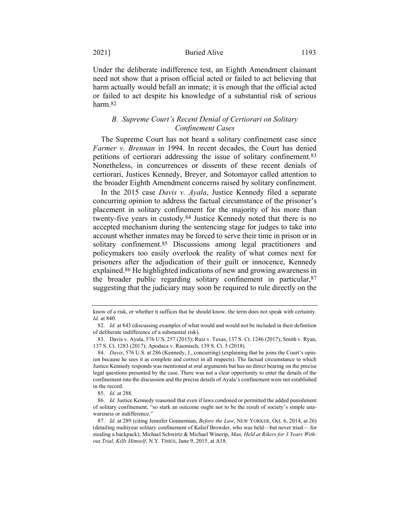Under the deliberate indifference test, an Eighth Amendment claimant need not show that a prison official acted or failed to act believing that harm actually would befall an inmate; it is enough that the official acted or failed to act despite his knowledge of a substantial risk of serious harm.82

# *B. Supreme Court's Recent Denial of Certiorari on Solitary Confinement Cases*

The Supreme Court has not heard a solitary confinement case since *Farmer v. Brennan* in 1994. In recent decades, the Court has denied petitions of certiorari addressing the issue of solitary confinement.83 Nonetheless, in concurrences or dissents of these recent denials of certiorari, Justices Kennedy, Breyer, and Sotomayor called attention to the broader Eighth Amendment concerns raised by solitary confinement.

In the 2015 case *Davis v. Ayala*, Justice Kennedy filed a separate concurring opinion to address the factual circumstance of the prisoner's placement in solitary confinement for the majority of his more than twenty-five years in custody.84 Justice Kennedy noted that there is no accepted mechanism during the sentencing stage for judges to take into account whether inmates may be forced to serve their time in prison or in solitary confinement.85 Discussions among legal practitioners and policymakers too easily overlook the reality of what comes next for prisoners after the adjudication of their guilt or innocence, Kennedy explained.86 He highlighted indications of new and growing awareness in the broader public regarding solitary confinement in particular,87 suggesting that the judiciary may soon be required to rule directly on the

85. *Id.* at 288.

know of a risk, or whether it suffices that he should know, the term does not speak with certainty. *Id.* at 840.

<sup>82.</sup> *Id.* at 843 (discussing examples of what would and would not be included in their definition of deliberate indifference of a substantial risk).

<sup>83.</sup> Davis v. Ayala, 576 U.S. 257 (2015); Ruiz v. Texas, 137 S. Ct. 1246 (2017); Smith v. Ryan, 137 S. Ct. 1283 (2017); Apodaca v. Raemisch, 139 S. Ct. 5 (2018).

<sup>84.</sup> *Davis*, 576 U.S. at 286 (Kennedy, J., concurring) (explaining that he joins the Court's opinion because he sees it as complete and correct in all respects). The factual circumstance to which Justice Kennedy responds was mentioned at oral arguments but has no direct bearing on the precise legal questions presented by the case. There was not a clear opportunity to enter the details of the confinement into the discussion and the precise details of Ayala's confinement were not established in the record.

<sup>86.</sup> *Id.* Justice Kennedy reasoned that even if laws condoned or permitted the added punishment of solitary confinement, "so stark an outcome ought not to be the result of society's simple unawareness or indifference."

<sup>87.</sup> *Id.* at 289 (citing Jennifer Gonnerman, *Before the Law*, NEW YORKER, Oct. 6, 2014, at 26) (detailing multiyear solitary confinement of Kalief Browder, who was held—but never tried— for stealing a backpack); Michael Schwirtz & Michael Winerip, *Man, Held at Rikers for 3 Years Without Trial, Kills Himself*, N.Y. TIMES, June 9, 2015, at A18.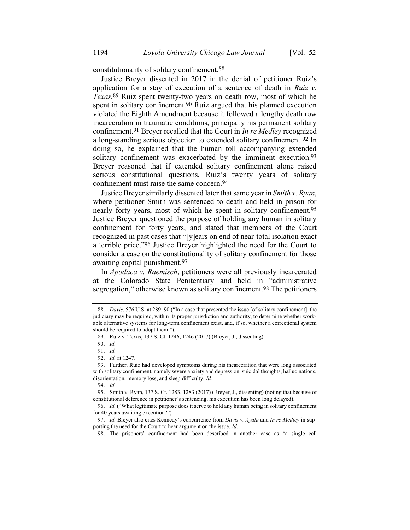constitutionality of solitary confinement.88

Justice Breyer dissented in 2017 in the denial of petitioner Ruiz's application for a stay of execution of a sentence of death in *Ruiz v. Texas.*89 Ruiz spent twenty-two years on death row, most of which he spent in solitary confinement.<sup>90</sup> Ruiz argued that his planned execution violated the Eighth Amendment because it followed a lengthy death row incarceration in traumatic conditions, principally his permanent solitary confinement.91 Breyer recalled that the Court in *In re Medley* recognized a long-standing serious objection to extended solitary confinement.92 In doing so, he explained that the human toll accompanying extended solitary confinement was exacerbated by the imminent execution.<sup>93</sup> Breyer reasoned that if extended solitary confinement alone raised serious constitutional questions, Ruiz's twenty years of solitary confinement must raise the same concern.94

Justice Breyer similarly dissented later that same year in *Smith v. Ryan*, where petitioner Smith was sentenced to death and held in prison for nearly forty years, most of which he spent in solitary confinement.95 Justice Breyer questioned the purpose of holding any human in solitary confinement for forty years, and stated that members of the Court recognized in past cases that "[y]ears on end of near-total isolation exact a terrible price."96 Justice Breyer highlighted the need for the Court to consider a case on the constitutionality of solitary confinement for those awaiting capital punishment.97

In *Apodaca v. Raemisch*, petitioners were all previously incarcerated at the Colorado State Penitentiary and held in "administrative segregation," otherwise known as solitary confinement.<sup>98</sup> The petitioners

<sup>88.</sup> *Davis*, 576 U.S. at 289–90 ("In a case that presented the issue [of solitary confinement], the judiciary may be required, within its proper jurisdiction and authority, to determine whether workable alternative systems for long-term confinement exist, and, if so, whether a correctional system should be required to adopt them.").

<sup>89.</sup> Ruiz v. Texas, 137 S. Ct. 1246, 1246 (2017) (Breyer, J., dissenting).

<sup>90.</sup> *Id.*

<sup>91.</sup> *Id.*

<sup>92.</sup> *Id.* at 1247.

<sup>93.</sup> Further, Ruiz had developed symptoms during his incarceration that were long associated with solitary confinement, namely severe anxiety and depression, suicidal thoughts, hallucinations, disorientation, memory loss, and sleep difficulty. *Id.*

<sup>94.</sup> *Id.*

<sup>95.</sup> Smith v. Ryan, 137 S. Ct. 1283, 1283 (2017) (Breyer, J., dissenting) (noting that because of constitutional deference in petitioner's sentencing, his execution has been long delayed).

<sup>96.</sup> *Id.* ("What legitimate purpose does it serve to hold any human being in solitary confinement for 40 years awaiting execution?").

<sup>97.</sup> *Id.* Breyer also cites Kennedy's concurrence from *Davis v. Ayala* and *In re Medley* in supporting the need for the Court to hear argument on the issue. *Id.*

<sup>98.</sup> The prisoners' confinement had been described in another case as "a single cell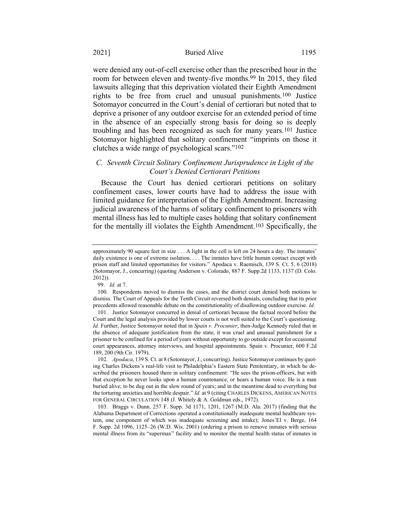were denied any out-of-cell exercise other than the prescribed hour in the room for between eleven and twenty-five months.<sup>99</sup> In 2015, they filed lawsuits alleging that this deprivation violated their Eighth Amendment rights to be free from cruel and unusual punishments.100 Justice Sotomayor concurred in the Court's denial of certiorari but noted that to deprive a prisoner of any outdoor exercise for an extended period of time in the absence of an especially strong basis for doing so is deeply troubling and has been recognized as such for many years.101 Justice Sotomayor highlighted that solitary confinement "imprints on those it clutches a wide range of psychological scars."102

# *C. Seventh Circuit Solitary Confinement Jurisprudence in Light of the Court's Denied Certiorari Petitions*

Because the Court has denied certiorari petitions on solitary confinement cases, lower courts have had to address the issue with limited guidance for interpretation of the Eighth Amendment. Increasing judicial awareness of the harms of solitary confinement to prisoners with mental illness has led to multiple cases holding that solitary confinement for the mentally ill violates the Eighth Amendment.103 Specifically, the

approximately 90 square feet in size . . . A light in the cell is left on 24 hours a day. The inmates' daily existence is one of extreme isolation. . . . The inmates have little human contact except with prison staff and limited opportunities for visitors." Apodaca v. Raemisch, 139 S. Ct. 5, 6 (2018) (Sotomayor, J., concurring) (quoting Anderson v. Colorado, 887 F. Supp.2d 1133, 1137 (D. Colo. 2012)).

<sup>99.</sup> *Id.* at 7.

<sup>100.</sup> Respondents moved to dismiss the cases, and the district court denied both motions to dismiss. The Court of Appeals for the Tenth Circuit reversed both denials, concluding that its prior precedents allowed reasonable debate on the constitutionality of disallowing outdoor exercise. *Id.*

<sup>101.</sup> Justice Sotomayor concurred in denial of certiorari because the factual record before the Court and the legal analysis provided by lower courts is not well suited to the Court's questioning. *Id.* Further, Justice Sotomayor noted that in *Spain v. Procunier*, then-Judge Kennedy ruled that in the absence of adequate justification from the state, it was cruel and unusual punishment for a prisoner to be confined for a period of years without opportunity to go outside except for occasional court appearances, attorney interviews, and hospital appointments. Spain v. Procunier, 600 F.2d 189, 200 (9th Cir. 1979).

<sup>102.</sup> *Apodaca*, 139 S. Ct. at 8 (Sotomayor, J., concurring). Justice Sotomayor continues by quoting Charles Dickens's real-life visit to Philadelphia's Eastern State Penitentiary, in which he described the prisoners housed there in solitary confinement: "He sees the prison-officers, but with that exception he never looks upon a human countenance, or hears a human voice. He is a man buried alive; to be dug out in the slow round of years; and in the meantime dead to everything but the torturing anxieties and horrible despair." *Id.* at 9 (citing CHARLES DICKENS, AMERICAN NOTES FOR GENERAL CIRCULATION 148 (J. Whitely & A. Goldman eds., 1972).

<sup>103.</sup> Braggs v. Dunn, 257 F. Supp. 3d 1171, 1201, 1267 (M.D. Ala. 2017) (finding that the Alabama Department of Corrections operated a constitutionally inadequate mental healthcare system, one component of which was inadequate screening and intake); Jones'El v. Berge, 164 F. Supp. 2d 1096, 1125–26 (W.D. Wis. 2001) (ordering a prison to remove inmates with serious mental illness from its "supermax" facility and to monitor the mental health status of inmates in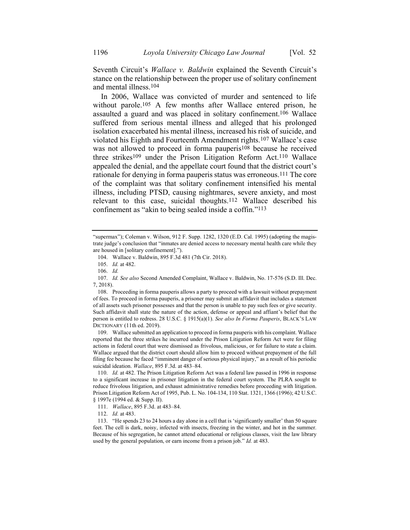Seventh Circuit's *Wallace v. Baldwin* explained the Seventh Circuit's stance on the relationship between the proper use of solitary confinement and mental illness.104

In 2006, Wallace was convicted of murder and sentenced to life without parole.<sup>105</sup> A few months after Wallace entered prison, he assaulted a guard and was placed in solitary confinement.106 Wallace suffered from serious mental illness and alleged that his prolonged isolation exacerbated his mental illness, increased his risk of suicide, and violated his Eighth and Fourteenth Amendment rights.107 Wallace's case was not allowed to proceed in forma pauperis<sup>108</sup> because he received three strikes109 under the Prison Litigation Reform Act.110 Wallace appealed the denial, and the appellate court found that the district court's rationale for denying in forma pauperis status was erroneous.111 The core of the complaint was that solitary confinement intensified his mental illness, including PTSD, causing nightmares, severe anxiety, and most relevant to this case, suicidal thoughts.112 Wallace described his confinement as "akin to being sealed inside a coffin."113

109. Wallace submitted an application to proceed in forma pauperis with his complaint. Wallace reported that the three strikes he incurred under the Prison Litigation Reform Act were for filing actions in federal court that were dismissed as frivolous, malicious, or for failure to state a claim. Wallace argued that the district court should allow him to proceed without prepayment of the full filing fee because he faced "imminent danger of serious physical injury," as a result of his periodic suicidal ideation. *Wallace*, 895 F.3d. at 483–84.

110. *Id.* at 482. The Prison Litigation Reform Act was a federal law passed in 1996 in response to a significant increase in prisoner litigation in the federal court system. The PLRA sought to reduce frivolous litigation, and exhaust administrative remedies before proceeding with litigation. Prison Litigation Reform Act of 1995, Pub. L. No. 104-134, 110 Stat. 1321, 1366 (1996); 42 U.S.C. § 1997e (1994 ed. & Supp. II).

<sup>&</sup>quot;supermax"); Coleman v. Wilson, 912 F. Supp. 1282, 1320 (E.D. Cal. 1995) (adopting the magistrate judge's conclusion that "inmates are denied access to necessary mental health care while they are housed in [solitary confinement].").

<sup>104.</sup> Wallace v. Baldwin, 895 F.3d 481 (7th Cir. 2018).

<sup>105.</sup> *Id.* at 482.

<sup>106.</sup> *Id.*

<sup>107.</sup> *Id. See also* Second Amended Complaint, Wallace v. Baldwin, No. 17-576 (S.D. Ill. Dec. 7, 2018).

<sup>108.</sup> Proceeding in forma pauperis allows a party to proceed with a lawsuit without prepayment of fees. To proceed in forma pauperis, a prisoner may submit an affidavit that includes a statement of all assets such prisoner possesses and that the person is unable to pay such fees or give security. Such affidavit shall state the nature of the action, defense or appeal and affiant's belief that the person is entitled to redress. 28 U.S.C. § 1915(a)(1). *See also In Forma Pauperis*, BLACK'S LAW DICTIONARY (11th ed. 2019).

<sup>111.</sup> *Wallace*, 895 F.3d. at 483–84.

<sup>112.</sup> *Id.* at 483.

<sup>113.</sup> "He spends 23 to 24 hours a day alone in a cell that is 'significantly smaller' than 50 square feet. The cell is dark, noisy, infected with insects, freezing in the winter, and hot in the summer. Because of his segregation, he cannot attend educational or religious classes, visit the law library used by the general population, or earn income from a prison job." *Id.* at 483.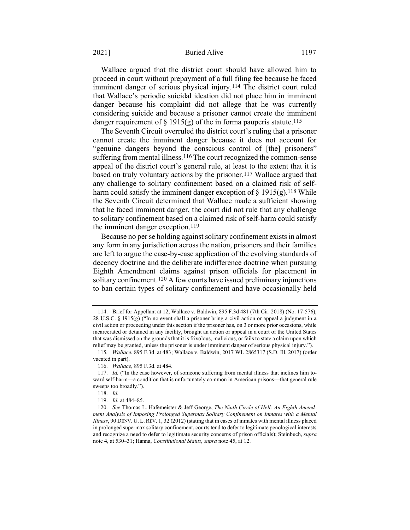#### 2021] Buried Alive 1197

Wallace argued that the district court should have allowed him to proceed in court without prepayment of a full filing fee because he faced imminent danger of serious physical injury.<sup>114</sup> The district court ruled that Wallace's periodic suicidal ideation did not place him in imminent danger because his complaint did not allege that he was currently considering suicide and because a prisoner cannot create the imminent danger requirement of  $\S 1915(g)$  of the in forma pauperis statute.<sup>115</sup>

The Seventh Circuit overruled the district court's ruling that a prisoner cannot create the imminent danger because it does not account for "genuine dangers beyond the conscious control of [the] prisoners" suffering from mental illness.<sup>116</sup> The court recognized the common-sense appeal of the district court's general rule, at least to the extent that it is based on truly voluntary actions by the prisoner.117 Wallace argued that any challenge to solitary confinement based on a claimed risk of selfharm could satisfy the imminent danger exception of  $\S$  1915(g).<sup>118</sup> While the Seventh Circuit determined that Wallace made a sufficient showing that he faced imminent danger, the court did not rule that any challenge to solitary confinement based on a claimed risk of self-harm could satisfy the imminent danger exception.119

Because no per se holding against solitary confinement exists in almost any form in any jurisdiction across the nation, prisoners and their families are left to argue the case-by-case application of the evolving standards of decency doctrine and the deliberate indifference doctrine when pursuing Eighth Amendment claims against prison officials for placement in solitary confinement.120 A few courts have issued preliminary injunctions to ban certain types of solitary confinement and have occasionally held

<sup>114.</sup> Brief for Appellant at 12, Wallace v. Baldwin, 895 F.3d 481 (7th Cir. 2018) (No. 17-576); 28 U.S.C. § 1915(g) ("In no event shall a prisoner bring a civil action or appeal a judgment in a civil action or proceeding under this section if the prisoner has, on 3 or more prior occasions, while incarcerated or detained in any facility, brought an action or appeal in a court of the United States that was dismissed on the grounds that it is frivolous, malicious, or fails to state a claim upon which relief may be granted, unless the prisoner is under imminent danger of serious physical injury.").

<sup>115</sup>*. Wallace*, 895 F.3d. at 483; Wallace v. Baldwin, 2017 WL 2865317 (S.D. Ill. 2017) (order vacated in part).

<sup>116.</sup> *Wallace*, 895 F.3d. at 484.

<sup>117.</sup> *Id.* ("In the case however, of someone suffering from mental illness that inclines him toward self-harm—a condition that is unfortunately common in American prisons—that general rule sweeps too broadly.").

<sup>118.</sup> *Id.*

<sup>119.</sup> *Id.* at 484–85.

<sup>120.</sup> *See* Thomas L. Hafemeister & Jeff George, *The Ninth Circle of Hell: An Eighth Amendment Analysis of Imposing Prolonged Supermax Solitary Confinement on Inmates with a Mental Illness*, 90 DENV. U. L. REV. 1, 32 (2012) (stating that in cases of inmates with mental illness placed in prolonged supermax solitary confinement, courts tend to defer to legitimate penological interests and recognize a need to defer to legitimate security concerns of prison officials); Steinbuch, *supra* note [4,](#page-3-0) at 530–31; Hanna, *Constitutional Status*, *supra* note [45,](#page-10-0) at 12.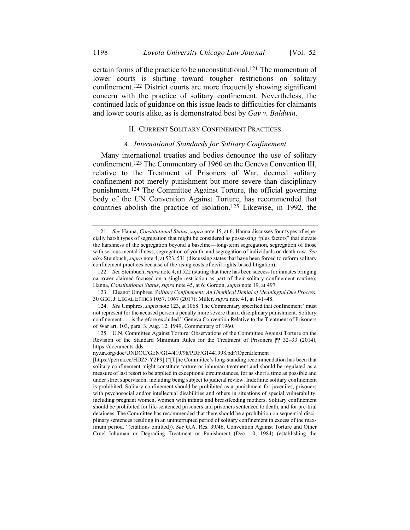certain forms of the practice to be unconstitutional.121 The momentum of lower courts is shifting toward tougher restrictions on solitary confinement.122 District courts are more frequently showing significant concern with the practice of solitary confinement. Nevertheless, the continued lack of guidance on this issue leads to difficulties for claimants and lower courts alike, as is demonstrated best by *Gay v. Baldwin*.

# II. CURRENT SOLITARY CONFINEMENT PRACTICES

# <span id="page-20-1"></span><span id="page-20-0"></span>*A. International Standards for Solitary Confinement*

Many international treaties and bodies denounce the use of solitary confinement.123 The Commentary of 1960 on the Geneva Convention III, relative to the Treatment of Prisoners of War, deemed solitary confinement not merely punishment but more severe than disciplinary punishment.124 The Committee Against Torture, the official governing body of the UN Convention Against Torture, has recommended that countries abolish the practice of isolation.125 Likewise, in 1992, the

<sup>121.</sup> *See* Hanna, *Constitutional Status*, *supra* not[e 45,](#page-10-1) at 6. Hanna discusses four types of especially harsh types of segregation that might be considered as possessing "plus factors" that elevate the harshness of the segregation beyond a baseline—long-term segregation, segregation of those with serious mental illness, segregation of youth, and segregation of individuals on death row. *See also* Steinbuch, *supra* not[e 4,](#page-3-0) at 523, 531 (discussing states that have been forced to reform solitary confinement practices because of the rising costs of civil rights-based litigation).

<sup>122.</sup> *See* Steinbuch, *supra* not[e 4,](#page-3-0) at 522 (stating that there has been success for inmates bringing narrower claimed focused on a single restriction as part of their solitary confinement routine); Hanna, *Constitutional Status*, *supra* not[e 45,](#page-10-0) at 6; Gordon, *supra* not[e 19,](#page-5-0) at 497.

<sup>123.</sup> Eleanor Umphres, *Solitary Confinement: An Unethical Denial of Meaningful Due Process*, 30 GEO. J. LEGAL ETHICS 1057, 1067 (2017); Miller, *supra* not[e 41,](#page-9-0) at 141–48.

<sup>124.</sup> *See* Umphres, *supra* not[e 123,](#page-20-0) at 1068. The Commentary specified that confinement "must not represent for the accused person a penalty more severe than a disciplinary punishment. Solitary confinement . . . is therefore excluded." Geneva Convention Relative to the Treatment of Prisoners of War art. 103, para. 3, Aug. 12, 1949, Commentary of 1960.

<sup>125.</sup> U.N. Committee Against Torture: Observations of the Committee Against Torture on the Revision of the Standard Minimum Rules for the Treatment of Prisoners  $\mathbb{P}$  32–33 (2014), https://documents-dds-

ny.un.org/doc/UNDOC/GEN/G14/419/98/PDF/G1441998.pdf?OpenElement

<sup>[</sup>https://perma.cc/HDZ5-Y2P9] ("[T]he Committee's long-standing recommendation has been that solitary confinement might constitute torture or inhuman treatment and should be regulated as a measure of last resort to be applied in exceptional circumstances, for as short a time as possible and under strict supervision, including being subject to judicial review. Indefinite solitary confinement is prohibited. Solitary confinement should be prohibited as a punishment for juveniles, prisoners with psychosocial and/or intellectual disabilities and others in situations of special vulnerability, including pregnant women, women with infants and breastfeeding mothers. Solitary confinement should be prohibited for life-sentenced prisoners and prisoners sentenced to death, and for pre-trial detainees. The Committee has recommended that there should be a prohibition on sequential disciplinary sentences resulting in an uninterrupted period of solitary confinement in excess of the maximum period." (citations omitted)). *See* G.A. Res. 39/46, Convention Against Torture and Other Cruel Inhuman or Degrading Treatment or Punishment (Dec. 10, 1984) (establishing the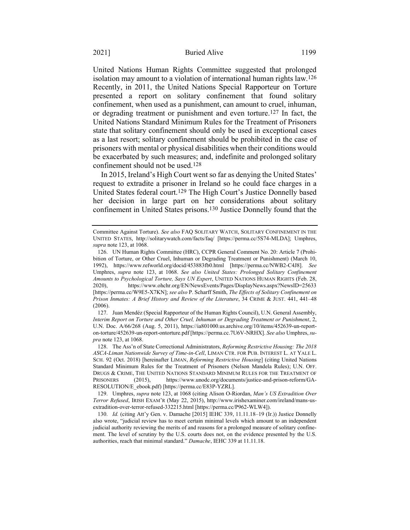United Nations Human Rights Committee suggested that prolonged isolation may amount to a violation of international human rights law.126 Recently, in 2011, the United Nations Special Rapporteur on Torture presented a report on solitary confinement that found solitary confinement, when used as a punishment, can amount to cruel, inhuman, or degrading treatment or punishment and even torture.127 In fact, the United Nations Standard Minimum Rules for the Treatment of Prisoners state that solitary confinement should only be used in exceptional cases as a last resort; solitary confinement should be prohibited in the case of prisoners with mental or physical disabilities when their conditions would be exacerbated by such measures; and, indefinite and prolonged solitary confinement should not be used.128

<span id="page-21-1"></span><span id="page-21-0"></span>In 2015, Ireland's High Court went so far as denying the United States' request to extradite a prisoner in Ireland so he could face charges in a United States federal court.129 The High Court's Justice Donnelly based her decision in large part on her considerations about solitary confinement in United States prisons.130 Justice Donnelly found that the

127. Juan Mendéz (Special Rapporteur of the Human Rights Council), U.N. General Assembly, *Interim Report on Torture and Other Cruel, Inhuman or Degrading Treatment or Punishment*, 2, U.N. Doc. A/66/268 (Aug. 5, 2011), [https://ia801000.us.archive.org/10/items/452639-un-report](https://ia801000.us.archive.org/10/items/452639-un-report-on-torture/452639-un-report-ontorture.pdf)[on-torture/452639-un-report-ontorture.pdf](https://ia801000.us.archive.org/10/items/452639-un-report-on-torture/452639-un-report-ontorture.pdf) [https://perma.cc.7U6V-NRHX]. *See also* Umphres, *supra* not[e 123,](#page-20-0) at 1068.

Committee Against Torture). *See also* FAQ SOLITARY WATCH, SOLITARY CONFINEMENT IN THE UNITED STATES, http://solitarywatch.com/facts/faq/ [https://perma.cc/5S74-MLDA]; Umphres, *supra* note [123,](#page-20-0) at 1068.

<sup>126.</sup> UN Human Rights Committee (HRC), CCPR General Comment No. 20: Article 7 (Prohibition of Torture, or Other Cruel, Inhuman or Degrading Treatment or Punishment) (March 10, 1992), https://www.refworld.org/docid/453883fb0.html [https://perma.cc/NWB2-C4J8]. *See*  Umphres, *supra* note [123,](#page-20-0) at 1068. *See also United States: Prolonged Solitary Confinement Amounts to Psychological Torture, Says UN Expert*, UNITED NATIONS HUMAN RIGHTS (Feb. 28, 2020), https://www.ohchr.org/EN/NewsEvents/Pages/DisplayNews.aspx?NewsID=25633 [https://perma.cc/W9E5-X7KN]; *see also* P. Scharff Smith, *The Effects of Solitary Confinement on Prison Inmates: A Brief History and Review of the Literature*, 34 CRIME & JUST. 441, 441–48 (2006).

<sup>128.</sup> The Ass'n of State Correctional Administrators, *Reforming Restrictive Housing: The 2018 ASCA-Liman Nationwide Survey of Time-in-Cell*, LIMAN CTR. FOR PUB. INTEREST L. AT YALE L. SCH. 92 (Oct. 2018) [hereinafter LIMAN, *Reforming Restrictive Housing*] (citing United Nations Standard Minimum Rules for the Treatment of Prisoners (Nelson Mandela Rules); U.N. OFF. DRUGS & CRIME, THE UNITED NATIONS STANDARD MINIMUM RULES FOR THE TREATMENT OF PRISONERS (2015), https://www.unodc.org/documents/justice-and-prison-reform/GA-RESOLUTION/E\_ebook.pdf) [https://perma.cc/E83P-YZRL].

<sup>129.</sup> Umphres, *supra* not[e 123,](#page-20-0) at 1068 (citing Alison O-Riordan, *Man's US Extradition Over Terror Refused*, IRISH EXAM'R (May 22, 2015), http://www.irishexaminer.com/ireland/mans-usextradition-over-terror-refused-332215.html [https://perma.cc/P962-WLW4]).

<sup>130.</sup> *Id.* (citing Att'y Gen. v. Damache [2015] IEHC 339, 11.11.18–19 (Ir.)) Justice Donnelly also wrote, "judicial review has to meet certain minimal levels which amount to an independent judicial authority reviewing the merits of and reasons for a prolonged measure of solitary confinement. The level of scrutiny by the U.S. courts does not, on the evidence presented by the U.S. authorities, reach that minimal standard." *Damache*, IEHC 339 at 11.11.18.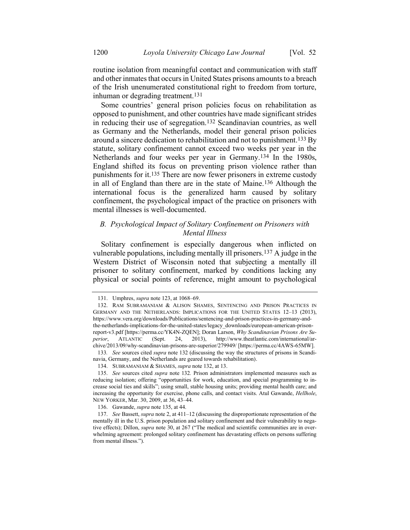routine isolation from meaningful contact and communication with staff and other inmates that occurs in United States prisons amounts to a breach of the Irish unenumerated constitutional right to freedom from torture, inhuman or degrading treatment.<sup>131</sup>

<span id="page-22-0"></span>Some countries' general prison policies focus on rehabilitation as opposed to punishment, and other countries have made significant strides in reducing their use of segregation.132 Scandinavian countries, as well as Germany and the Netherlands, model their general prison policies around a sincere dedication to rehabilitation and not to punishment.<sup>133</sup> By statute, solitary confinement cannot exceed two weeks per year in the Netherlands and four weeks per year in Germany.134 In the 1980s, England shifted its focus on preventing prison violence rather than punishments for it.135 There are now fewer prisoners in extreme custody in all of England than there are in the state of Maine.136 Although the international focus is the generalized harm caused by solitary confinement, the psychological impact of the practice on prisoners with mental illnesses is well-documented.

# <span id="page-22-1"></span>*B. Psychological Impact of Solitary Confinement on Prisoners with Mental Illness*

Solitary confinement is especially dangerous when inflicted on vulnerable populations, including mentally ill prisoners.137 A judge in the Western District of Wisconsin noted that subjecting a mentally ill prisoner to solitary confinement, marked by conditions lacking any physical or social points of reference, might amount to psychological

<sup>131.</sup> Umphres, *supra* not[e 123,](#page-20-0) at 1068–69.

<sup>132.</sup> RAM SUBRAMANIAM & ALISON SHAMES, SENTENCING AND PRISON PRACTICES IN GERMANY AND THE NETHERLANDS: IMPLICATIONS FOR THE UNITED STATES 12–13 (2013), https://www.vera.org/downloads/Publications/sentencing-and-prison-practices-in-germany-andthe-netherlands-implications-for-the-united-states/legacy\_downloads/european-american-prisonreport-v3.pdf [https://perma.cc/YK4N-ZQEN]; Doran Larson, *Why Scandinavian Prisons Are Superior*, ATLANTIC (Sept. 24, 2013), http://www.theatlantic.com/international/archive/2013/09/why-scandinavian-prisons-are-superior/279949/ [https://perma.cc/4AWS-65MW].

<sup>133</sup>*. See* sources cited *supra* note [132](#page-22-0) (discussing the way the structures of prisons in Scandinavia, Germany, and the Netherlands are geared towards rehabilitation).

<sup>134.</sup> SUBRAMANIAM & SHAMES, *supra* note [132,](#page-22-0) at 13.

<sup>135.</sup> *See* sources cited *supra* note [132](#page-22-0)*.* Prison administrators implemented measures such as reducing isolation; offering "opportunities for work, education, and special programming to increase social ties and skills"; using small, stable housing units; providing mental health care; and increasing the opportunity for exercise, phone calls, and contact visits. Atul Gawande, *Hellhole*, NEW YORKER, Mar. 30, 2009, at 36, 43–44.

<sup>136.</sup> Gawande, *supra* note [135,](#page-22-1) at 44.

<sup>137.</sup> *See* Bassett, *supra* not[e 2,](#page-2-0) at 411–12 (discussing the disproportionate representation of the mentally ill in the U.S. prison population and solitary confinement and their vulnerability to negative effects); Dillon, *supra* note [30,](#page-7-0) at 267 ("The medical and scientific communities are in overwhelming agreement: prolonged solitary confinement has devastating effects on persons suffering from mental illness.").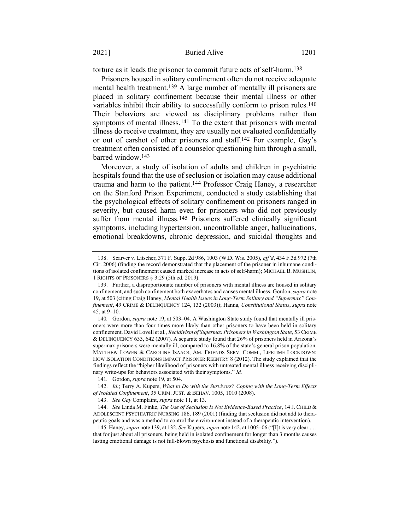<span id="page-23-2"></span>torture as it leads the prisoner to commit future acts of self-harm.138

<span id="page-23-0"></span>Prisoners housed in solitary confinement often do not receive adequate mental health treatment.139 A large number of mentally ill prisoners are placed in solitary confinement because their mental illness or other variables inhibit their ability to successfully conform to prison rules.<sup>140</sup> Their behaviors are viewed as disciplinary problems rather than symptoms of mental illness.<sup>141</sup> To the extent that prisoners with mental illness do receive treatment, they are usually not evaluated confidentially or out of earshot of other prisoners and staff.142 For example, Gay's treatment often consisted of a counselor questioning him through a small, barred window.143

<span id="page-23-1"></span>Moreover, a study of isolation of adults and children in psychiatric hospitals found that the use of seclusion or isolation may cause additional trauma and harm to the patient.144 Professor Craig Haney, a researcher on the Stanford Prison Experiment, conducted a study establishing that the psychological effects of solitary confinement on prisoners ranged in severity, but caused harm even for prisoners who did not previously suffer from mental illness.<sup>145</sup> Prisoners suffered clinically significant symptoms, including hypertension, uncontrollable anger, hallucinations, emotional breakdowns, chronic depression, and suicidal thoughts and

<sup>138.</sup> Scarver v. Litscher, 371 F. Supp. 2d 986, 1003 (W.D. Wis. 2005), *aff'd*, 434 F.3d 972 (7th Cir. 2006) (finding the record demonstrated that the placement of the prisoner in inhumane conditions of isolated confinement caused marked increase in acts of self-harm); MICHAEL B. MUSHLIN, 1 RIGHTS OF PRISONERS § 3:29 (5th ed. 2019).

<sup>139.</sup> Further, a disproportionate number of prisoners with mental illness are housed in solitary confinement, and such confinement both exacerbates and causes mental illness. Gordon, *supra* note [19,](#page-5-0) at 503 (citing Craig Haney, *Mental Health Issues in Long-Term Solitary and "Supermax" Confinement*, 49 CRIME & DELINQUENCY 124, 132 (2003)); Hanna, *Constitutional Status*, *supra* note [45,](#page-10-0) at 9–10.

<sup>140</sup>*.* Gordon, *supra* not[e 19,](#page-5-0) at 503–04. A Washington State study found that mentally ill prisoners were more than four times more likely than other prisoners to have been held in solitary confinement. David Lovell et al., *Recidivism of Supermax Prisoners in Washington State*, 53 CRIME & DELINQUENCY 633, 642 (2007). A separate study found that 26% of prisoners held in Arizona's supermax prisoners were mentally ill, compared to 16.8% of the state's general prison population. MATTHEW LOWEN & CAROLINE ISAACS, AM. FRIENDS SERV. COMM., LIFETIME LOCKDOWN: HOW ISOLATION CONDITIONS IMPACT PRISONER REENTRY 8 (2012). The study explained that the findings reflect the "higher likelihood of prisoners with untreated mental illness receiving disciplinary write-ups for behaviors associated with their symptoms." *Id.*

<sup>141</sup>*.* Gordon, *supra* not[e 19,](#page-5-0) at 504.

<sup>142.</sup> *Id.*; Terry A. Kupers, *What to Do with the Survivors? Coping with the Long-Term Effects of Isolated Confinement*, 35 CRIM. JUST. & BEHAV. 1005, 1010 (2008).

<sup>143.</sup> *See Gay* Complaint, *supra* not[e 11,](#page-4-0) at 13.

<sup>144.</sup> *See* Linda M. Finke, *The Use of Seclusion Is Not Evidence-Based Practice*, 14 J. CHILD & ADOLESCENT PSYCHIATRIC NURSING 186, 189 (2001) (finding that seclusion did not add to therapeutic goals and was a method to control the environment instead of a therapeutic intervention).

<sup>145.</sup> Haney, *supra* not[e 139,](#page-23-0) at 132. *See* Kupers,*supra* not[e 142,](#page-23-1) at 1005–06 ("[I]t is very clear . . . that for just about all prisoners, being held in isolated confinement for longer than 3 months causes lasting emotional damage is not full-blown psychosis and functional disability.").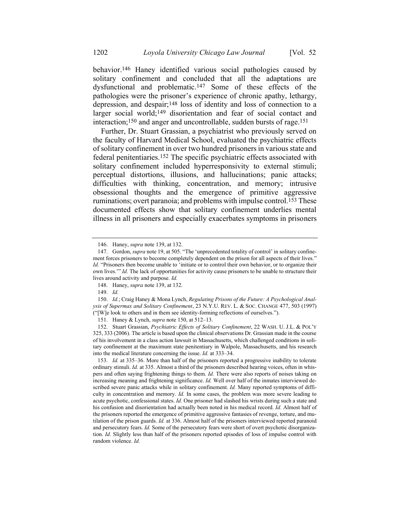behavior.146 Haney identified various social pathologies caused by solitary confinement and concluded that all the adaptations are dysfunctional and problematic.147 Some of these effects of the pathologies were the prisoner's experience of chronic apathy, lethargy, depression, and despair;148 loss of identity and loss of connection to a larger social world;<sup>149</sup> disorientation and fear of social contact and interaction;150 and anger and uncontrollable, sudden bursts of rage.151

<span id="page-24-0"></span>Further, Dr. Stuart Grassian, a psychiatrist who previously served on the faculty of Harvard Medical School, evaluated the psychiatric effects of solitary confinement in over two hundred prisoners in various state and federal penitentiaries.152 The specific psychiatric effects associated with solitary confinement included hyperresponsivity to external stimuli; perceptual distortions, illusions, and hallucinations; panic attacks; difficulties with thinking, concentration, and memory; intrusive obsessional thoughts and the emergence of primitive aggressive ruminations; overt paranoia; and problems with impulse control.153 These documented effects show that solitary confinement underlies mental illness in all prisoners and especially exacerbates symptoms in prisoners

153. *Id.* at 335–36. More than half of the prisoners reported a progressive inability to tolerate ordinary stimuli. *Id.* at 335. Almost a third of the prisoners described hearing voices, often in whispers and often saying frightening things to them. *Id.* There were also reports of noises taking on increasing meaning and frightening significance. *Id.* Well over half of the inmates interviewed described severe panic attacks while in solitary confinement. *Id.* Many reported symptoms of difficulty in concentration and memory. *Id.* In some cases, the problem was more severe leading to acute psychotic, confessional states. *Id.* One prisoner had slashed his wrists during such a state and his confusion and disorientation had actually been noted in his medical record. *Id.* Almost half of the prisoners reported the emergence of primitive aggressive fantasies of revenge, torture, and mutilation of the prison guards. *Id.* at 336. Almost half of the prisoners interviewed reported paranoid and persecutory fears. *Id.* Some of the persecutory fears were short of overt psychotic disorganization. *Id.* Slightly less than half of the prisoners reported episodes of loss of impulse control with random violence. *Id.*

<sup>146.</sup> Haney, *supra* not[e 139,](#page-23-0) at 132.

<sup>147.</sup> Gordon, *supra* not[e 19,](#page-5-0) at 505. "The 'unprecedented totality of control' in solitary confinement forces prisoners to become completely dependent on the prison for all aspects of their lives." *Id.* "Prisoners then become unable to 'initiate or to control their own behavior, or to organize their own lives."" *Id.* The lack of opportunities for activity cause prisoners to be unable to structure their lives around activity and purpose*. Id.*

<sup>148.</sup> Haney, *supra* not[e 139,](#page-23-0) at 132.

<sup>149.</sup> *Id.*

<sup>150.</sup> *Id.*; Craig Haney & Mona Lynch, *Regulating Prisons of the Future: A Psychological Analysis of Supermax and Solitary Confinement*, 23 N.Y.U. REV. L. & SOC. CHANGE 477, 503 (1997) ("[W]e look to others and in them see identity-forming reflections of ourselves.").

<sup>151.</sup> Haney & Lynch, *supra* not[e 150,](#page-24-0) at 512–13.

<sup>152.</sup> Stuart Grassian, *Psychiatric Effects of Solitary Confinement*, 22 WASH. U. J.L. & POL'Y 325, 333 (2006). The article is based upon the clinical observations Dr. Grassian made in the course of his involvement in a class action lawsuit in Massachusetts, which challenged conditions in solitary confinement at the maximum state penitentiary in Walpole, Massachusetts, and his research into the medical literature concerning the issue. *Id.* at 333–34.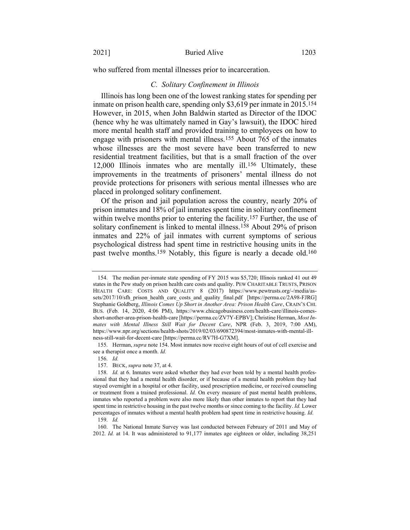who suffered from mental illnesses prior to incarceration.

#### <span id="page-25-0"></span>*C. Solitary Confinement in Illinois*

Illinois has long been one of the lowest ranking states for spending per inmate on prison health care, spending only \$3,619 per inmate in 2015.154 However, in 2015, when John Baldwin started as Director of the IDOC (hence why he was ultimately named in Gay's lawsuit), the IDOC hired more mental health staff and provided training to employees on how to engage with prisoners with mental illness.155 About 765 of the inmates whose illnesses are the most severe have been transferred to new residential treatment facilities, but that is a small fraction of the over 12,000 Illinois inmates who are mentally ill.156 Ultimately, these improvements in the treatments of prisoners' mental illness do not provide protections for prisoners with serious mental illnesses who are placed in prolonged solitary confinement.

Of the prison and jail population across the country, nearly 20% of prison inmates and 18% of jail inmates spent time in solitary confinement within twelve months prior to entering the facility.<sup>157</sup> Further, the use of solitary confinement is linked to mental illness.158 About 29% of prison inmates and 22% of jail inmates with current symptoms of serious psychological distress had spent time in restrictive housing units in the past twelve months.159 Notably, this figure is nearly a decade old.160

155. Herman, *supra* not[e 154.](#page-25-0) Most inmates now receive eight hours of out of cell exercise and see a therapist once a month. *Id.*

156. *Id.*

<sup>154.</sup> The median per-inmate state spending of FY 2015 was \$5,720; Illinois ranked 41 out 49 states in the Pew study on prison health care costs and quality. PEW CHARITABLE TRUSTS, PRISON HEALTH CARE: COSTS AND QUALITY 8 (2017) https://www.pewtrusts.org/-/media/assets/2017/10/sfh\_prison\_health\_care\_costs\_and\_quality\_final.pdf [https://perma.cc/2A98-FJRG] Stephanie Goldberg, *Illinois Comes Up Short in Another Area: Prison Health Care*, CRAIN'S CHI. BUS. (Feb. 14, 2020, 4:06 PM), https://www.chicagobusiness.com/health-care/illinois-comesshort-another-area-prison-health-care [https://perma.cc/ZV7Y-EPBV]; Christine Herman, *Most Inmates with Mental Illness Still Wait for Decent Care*, NPR (Feb. 3, 2019, 7:00 AM), https://www.npr.org/sections/health-shots/2019/02/03/690872394/most-inmates-with-mental-illness-still-wait-for-decent-care [https://perma.cc/RV7H-G7XM].

<sup>157.</sup> BECK, *supra* not[e 37,](#page-9-1) at 4.

<sup>158.</sup> *Id.* at 6. Inmates were asked whether they had ever been told by a mental health professional that they had a mental health disorder, or if because of a mental health problem they had stayed overnight in a hospital or other facility, used prescription medicine, or received counseling or treatment from a trained professional. *Id.* On every measure of past mental health problems, inmates who reported a problem were also more likely than other inmates to report that they had spent time in restrictive housing in the past twelve months or since coming to the facility. *Id.* Lower percentages of inmates without a mental health problem had spent time in restrictive housing. *Id.*

<sup>159.</sup> *Id.*

<sup>160.</sup> The National Inmate Survey was last conducted between February of 2011 and May of 2012. *Id.* at 14. It was administered to 91,177 inmates age eighteen or older, including 38,251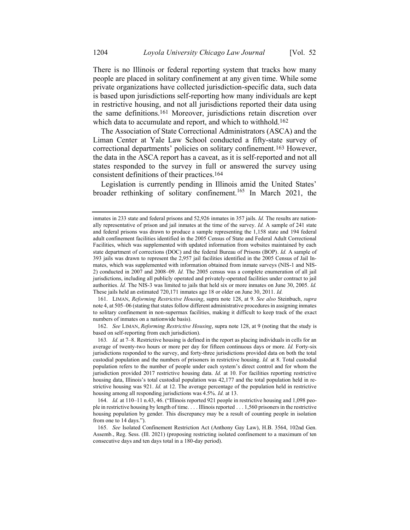There is no Illinois or federal reporting system that tracks how many people are placed in solitary confinement at any given time. While some private organizations have collected jurisdiction-specific data, such data is based upon jurisdictions self-reporting how many individuals are kept in restrictive housing, and not all jurisdictions reported their data using the same definitions.161 Moreover, jurisdictions retain discretion over which data to accumulate and report, and which to withhold.<sup>162</sup>

The Association of State Correctional Administrators (ASCA) and the Liman Center at Yale Law School conducted a fifty-state survey of correctional departments' policies on solitary confinement.163 However, the data in the ASCA report has a caveat, as it is self-reported and not all states responded to the survey in full or answered the survey using consistent definitions of their practices.164

Legislation is currently pending in Illinois amid the United States' broader rethinking of solitary confinement.<sup>165</sup> In March 2021, the

161. LIMAN, *Reforming Restrictive Housing*, supra note [128,](#page-21-0) at 9. *See also* Steinbuch, *supra* not[e 4,](#page-3-0) at 505–06 (stating that states follow different administrative procedures in assigning inmates to solitary confinement in non-supermax facilities, making it difficult to keep track of the exact numbers of inmates on a nationwide basis).

162. *See* LIMAN, *Reforming Restrictive Housing*, supra not[e 128,](#page-21-0) at 9 (noting that the study is based on self-reporting from each jurisdiction).

inmates in 233 state and federal prisons and 52,926 inmates in 357 jails. *Id.* The results are nationally representative of prison and jail inmates at the time of the survey. *Id.* A sample of 241 state and federal prisons was drawn to produce a sample representing the 1,158 state and 194 federal adult confinement facilities identified in the 2005 Census of State and Federal Adult Correctional Facilities, which was supplemented with updated information from websites maintained by each state department of corrections (DOC) and the federal Bureau of Prisons (BOP). *Id.* A sample of 393 jails was drawn to represent the 2,957 jail facilities identified in the 2005 Census of Jail Inmates, which was supplemented with information obtained from inmate surveys (NIS-1 and NIS-2) conducted in 2007 and 2008–09. *Id.* The 2005 census was a complete enumeration of all jail jurisdictions, including all publicly operated and privately-operated facilities under contract to jail authorities. *Id.* The NIS-3 was limited to jails that held six or more inmates on June 30, 2005. *Id.* These jails held an estimated 720,171 inmates age 18 or older on June 30, 2011. *Id.*

<sup>163</sup>*. Id.* at 7–8. Restrictive housing is defined in the report as placing individuals in cells for an average of twenty-two hours or more per day for fifteen continuous days or more. *Id.* Forty-six jurisdictions responded to the survey, and forty-three jurisdictions provided data on both the total custodial population and the numbers of prisoners in restrictive housing. *Id.* at 8. Total custodial population refers to the number of people under each system's direct control and for whom the jurisdiction provided 2017 restrictive housing data. *Id.* at 10. For facilities reporting restrictive housing data, Illinois's total custodial population was 42,177 and the total population held in restrictive housing was 921. *Id.* at 12. The average percentage of the population held in restrictive housing among all responding jurisdictions was 4.5%. *Id.* at 13.

<sup>164.</sup> *Id.* at 110–11 n.43, 46. ("Illinois reported 921 people in restrictive housing and 1,098 people in restrictive housing by length of time. . . . Illinois reported . . . 1,560 prisoners in the restrictive housing population by gender. This discrepancy may be a result of counting people in isolation from one to 14 days.").

<sup>165.</sup> *See* Isolated Confinement Restriction Act (Anthony Gay Law), H.B. 3564, 102nd Gen. Assemb., Reg. Sess. (Ill. 2021) (proposing restricting isolated confinement to a maximum of ten consecutive days and ten days total in a 180-day period).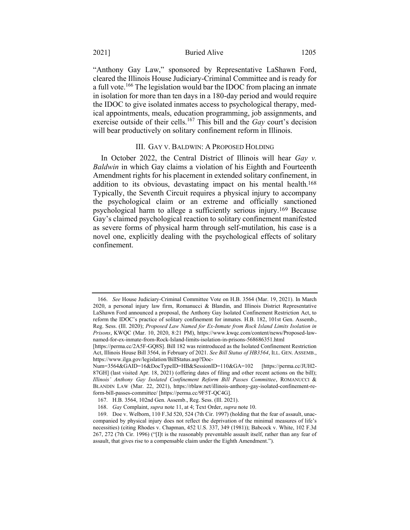#### 2021] Buried Alive 1205

"Anthony Gay Law," sponsored by Representative LaShawn Ford, cleared the Illinois House Judiciary-Criminal Committee and is ready for a full vote.<sup>166</sup> The legislation would bar the IDOC from placing an inmate in isolation for more than ten days in a 180-day period and would require the IDOC to give isolated inmates access to psychological therapy, medical appointments, meals, education programming, job assignments, and exercise outside of their cells.<sup>167</sup> This bill and the *Gay* court's decision will bear productively on solitary confinement reform in Illinois.

#### <span id="page-27-0"></span>III. GAY V. BALDWIN: A PROPOSED HOLDING

In October 2022, the Central District of Illinois will hear *Gay v. Baldwin* in which Gay claims a violation of his Eighth and Fourteenth Amendment rights for his placement in extended solitary confinement, in addition to its obvious, devastating impact on his mental health.168 Typically, the Seventh Circuit requires a physical injury to accompany the psychological claim or an extreme and officially sanctioned psychological harm to allege a sufficiently serious injury.169 Because Gay's claimed psychological reaction to solitary confinement manifested as severe forms of physical harm through self-mutilation, his case is a novel one, explicitly dealing with the psychological effects of solitary confinement.

<sup>166.</sup> *See* House Judiciary-Criminal Committee Vote on H.B. 3564 (Mar. 19, 2021). In March 2020, a personal injury law firm, Romanucci & Blandin, and Illinois District Representative LaShawn Ford announced a proposal, the Anthony Gay Isolated Confinement Restriction Act, to reform the IDOC's practice of solitary confinement for inmates. H.B. 182, 101st Gen. Assemb., Reg. Sess. (Ill. 2020); *Proposed Law Named for Ex-Inmate from Rock Island Limits Isolation in Prisons*, KWQC (Mar. 10, 2020, 8:21 PM), https://www.kwqc.com/content/news/Proposed-lawnamed-for-ex-inmate-from-Rock-Island-limits-isolation-in-prisons-568686351.html

<sup>[</sup>https://perma.cc/2A5F-GQ8S]. Bill 182 was reintroduced as the Isolated Confinement Restriction Act, Illinois House Bill 3564, in February of 2021. *See Bill Status of HB3564*, ILL. GEN. ASSEMB., https://www.ilga.gov/legislation/BillStatus.asp?Doc-

Num=3564&GAID=16&DocTypeID=HB&SessionID=110&GA=102 [https://perma.cc/JUH2- 87GH] (last visited Apr. 18, 2021) (offering dates of filing and other recent actions on the bill); *Illinois' Anthony Gay Isolated Confinement Reform Bill Passes Committee*, ROMANUCCI & BLANDIN LAW (Mar. 22, 2021), https://rblaw.net/illinois-anthony-gay-isolated-confinement-reform-bill-passes-committee/ [https://perma.cc/9F5T-QC4G].

<sup>167.</sup> H.B. 3564, 102nd Gen. Assemb., Reg. Sess. (Ill. 2021).

<sup>168.</sup> *Gay* Complaint, *supra* not[e 11,](#page-4-0) at 4; Text Order, *supra* not[e 10.](#page-4-1)

<sup>169.</sup> Doe v. Welborn, 110 F.3d 520, 524 (7th Cir. 1997) (holding that the fear of assault, unaccompanied by physical injury does not reflect the deprivation of the minimal measures of life's necessities) (citing Rhodes v. Chapman, 452 U.S. 337, 349 (1981)); Babcock v. White, 102 F.3d 267, 272 (7th Cir. 1996) ("[I]t is the reasonably preventable assault itself, rather than any fear of assault, that gives rise to a compensable claim under the Eighth Amendment.").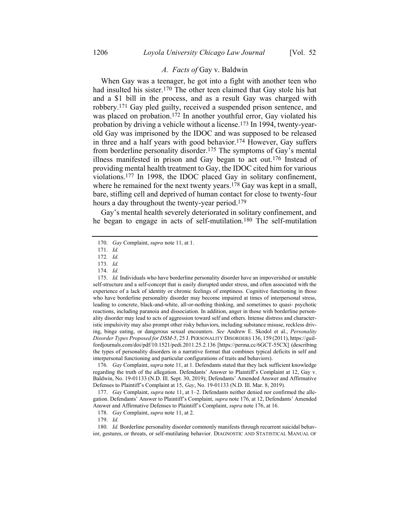# <span id="page-28-1"></span><span id="page-28-0"></span>*A. Facts of* Gay v. Baldwin

When Gay was a teenager, he got into a fight with another teen who had insulted his sister.170 The other teen claimed that Gay stole his hat and a \$1 bill in the process, and as a result Gay was charged with robbery.171 Gay pled guilty, received a suspended prison sentence, and was placed on probation.<sup>172</sup> In another youthful error, Gay violated his probation by driving a vehicle without a license.173 In 1994, twenty-yearold Gay was imprisoned by the IDOC and was supposed to be released in three and a half years with good behavior.174 However, Gay suffers from borderline personality disorder.175 The symptoms of Gay's mental illness manifested in prison and Gay began to act out.176 Instead of providing mental health treatment to Gay, the IDOC cited him for various violations.177 In 1998, the IDOC placed Gay in solitary confinement, where he remained for the next twenty years.<sup>178</sup> Gay was kept in a small, bare, stifling cell and deprived of human contact for close to twenty-four hours a day throughout the twenty-year period.<sup>179</sup>

Gay's mental health severely deteriorated in solitary confinement, and he began to engage in acts of self-mutilation.180 The self-mutilation

176. *Gay* Complaint, *supra* not[e 11,](#page-4-0) at 1. Defendants stated that they lack sufficient knowledge regarding the truth of the allegation. Defendants' Answer to Plaintiff's Complaint at 12, Gay v. Baldwin, No. 19-01133 (N.D. Ill. Sept. 30, 2019); Defendants' Amended Answer and Affirmative Defenses to Plaintiff's Complaint at 15, *Gay*, No. 19-01133 (N.D. Ill. Mar. 8, 2019).

177. *Gay* Complaint, *supra* not[e 11,](#page-4-0) at 1–2. Defendants neither denied nor confirmed the allegation. Defendants' Answer to Plaintiff's Complaint, *supra* note [176](#page-28-1), at 12, Defendants' Amended Answer and Affirmative Defenses to Plaintiff's Complaint, *supra* not[e 176,](#page-28-1) at 16.

178. *Gay* Complaint, *supra* not[e 11,](#page-4-0) at 2.

180. *Id.* Borderline personality disorder commonly manifests through recurrent suicidal behavior, gestures, or threats, or self-mutilating behavior. DIAGNOSTIC AND STATISTICAL MANUAL OF

<span id="page-28-2"></span><sup>170.</sup> *Gay* Complaint, *supra* not[e 11,](#page-4-0) at 1.

<sup>171.</sup> *Id.*

<sup>172</sup>*. Id.*

<sup>173.</sup> *Id.*

<sup>174.</sup> *Id.*

<sup>175.</sup> *Id.* Individuals who have borderline personality disorder have an impoverished or unstable self-structure and a self-concept that is easily disrupted under stress, and often associated with the experience of a lack of identity or chronic feelings of emptiness. Cognitive functioning in those who have borderline personality disorder may become impaired at times of interpersonal stress, leading to concrete, black-and-white, all-or-nothing thinking, and sometimes to quasi- psychotic reactions, including paranoia and dissociation. In addition, anger in those with borderline personality disorder may lead to acts of aggression toward self and others. Intense distress and characteristic impulsivity may also prompt other risky behaviors, including substance misuse, reckless driving, binge eating, or dangerous sexual encounters. *See* Andrew E. Skodol et al., *Personality Disorder Types Proposed for DSM-5*, 25 J. PERSONALITY DISORDERS 136, 159 (2011), https://guilfordjournals.com/doi/pdf/10.1521/pedi.2011.25.2.136 [https://perma.cc/6GCT-55CX] (describing the types of personality disorders in a narrative format that combines typical deficits in self and interpersonal functioning and particular configurations of traits and behaviors).

<sup>179.</sup> *Id.*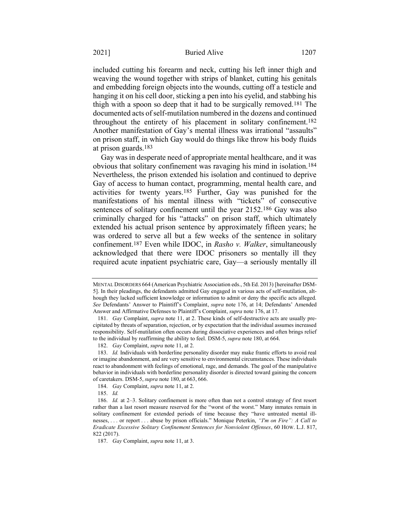included cutting his forearm and neck, cutting his left inner thigh and weaving the wound together with strips of blanket, cutting his genitals and embedding foreign objects into the wounds, cutting off a testicle and hanging it on his cell door, sticking a pen into his eyelid, and stabbing his thigh with a spoon so deep that it had to be surgically removed.181 The documented acts of self-mutilation numbered in the dozens and continued throughout the entirety of his placement in solitary confinement.182 Another manifestation of Gay's mental illness was irrational "assaults" on prison staff, in which Gay would do things like throw his body fluids at prison guards.183

Gay was in desperate need of appropriate mental healthcare, and it was obvious that solitary confinement was ravaging his mind in isolation.184 Nevertheless, the prison extended his isolation and continued to deprive Gay of access to human contact, programming, mental health care, and activities for twenty years.185 Further, Gay was punished for the manifestations of his mental illness with "tickets" of consecutive sentences of solitary confinement until the year 2152.186 Gay was also criminally charged for his "attacks" on prison staff, which ultimately extended his actual prison sentence by approximately fifteen years; he was ordered to serve all but a few weeks of the sentence in solitary confinement.187 Even while IDOC, in *Rasho v. Walker*, simultaneously acknowledged that there were IDOC prisoners so mentally ill they required acute inpatient psychiatric care, Gay—a seriously mentally ill

MENTAL DISORDERS 664 (American Psychiatric Association eds., 5th Ed. 2013) [hereinafter DSM-5]. In their pleadings, the defendants admitted Gay engaged in various acts of self-mutilation, although they lacked sufficient knowledge or information to admit or deny the specific acts alleged. *See* Defendants' Answer to Plaintiff's Complaint, *supra* note [176,](#page-28-1) at 14; Defendants' Amended Answer and Affirmative Defenses to Plaintiff's Complaint, *supra* not[e 176,](#page-28-1) at 17.

<sup>181.</sup> *Gay* Complaint, *supra* note [11,](#page-4-0) at 2. These kinds of self-destructive acts are usually precipitated by threats of separation, rejection, or by expectation that the individual assumes increased responsibility. Self-mutilation often occurs during dissociative experiences and often brings relief to the individual by reaffirming the ability to feel. DSM-5, *supra* not[e 180,](#page-28-2) at 664.

<sup>182.</sup> *Gay* Complaint, *supra* not[e 11,](#page-4-0) at 2.

<sup>183.</sup> *Id.* Individuals with borderline personality disorder may make frantic efforts to avoid real or imagine abandonment, and are very sensitive to environmental circumstances. These individuals react to abandonment with feelings of emotional, rage, and demands. The goal of the manipulative behavior in individuals with borderline personality disorder is directed toward gaining the concern of caretakers. DSM-5, *supra* not[e 180,](#page-28-2) at 663, 666.

<sup>184.</sup> *Gay* Complaint, *supra* not[e 11,](#page-4-0) at 2.

<sup>185.</sup> *Id.*

<sup>186.</sup> *Id.* at 2–3. Solitary confinement is more often than not a control strategy of first resort rather than a last resort measure reserved for the "worst of the worst." Many inmates remain in solitary confinement for extended periods of time because they "have untreated mental illnesses, . . . or report . . . abuse by prison officials." Monique Peterkin, *"I'm on Fire": A Call to Eradicate Excessive Solitary Confinement Sentences for Nonviolent Offenses*, 60 HOW. L.J. 817, 822 (2017).

<sup>187.</sup> *Gay* Complaint, *supra* not[e 11,](#page-4-0) at 3.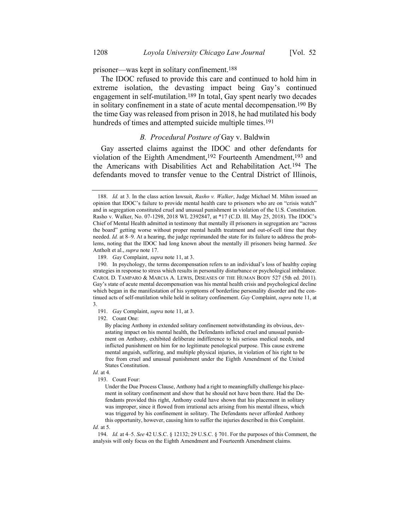prisoner—was kept in solitary confinement. 188

The IDOC refused to provide this care and continued to hold him in extreme isolation, the devasting impact being Gay's continued engagement in self-mutilation.189 In total, Gay spent nearly two decades in solitary confinement in a state of acute mental decompensation.<sup>190</sup> By the time Gay was released from prison in 2018, he had mutilated his body hundreds of times and attempted suicide multiple times.<sup>191</sup>

# <span id="page-30-0"></span>*B. Procedural Posture of* Gay v. Baldwin

Gay asserted claims against the IDOC and other defendants for violation of the Eighth Amendment,192 Fourteenth Amendment,193 and the Americans with Disabilities Act and Rehabilitation Act.194 The defendants moved to transfer venue to the Central District of Illinois,

189. *Gay* Complaint, *supra* not[e 11,](#page-4-0) at 3.

190. In psychology, the terms decompensation refers to an individual's loss of healthy coping strategies in response to stress which results in personality disturbance or psychological imbalance. CAROL D. TAMPARO & MARCIA A. LEWIS, DISEASES OF THE HUMAN BODY 527 (5th ed. 2011). Gay's state of acute mental decompensation was his mental health crisis and psychological decline which began in the manifestation of his symptoms of borderline personality disorder and the continued acts of self-mutilation while held in solitary confinement. *Gay* Complaint, *supra* not[e 11,](#page-4-0) at 3.

191. *Gay* Complaint, *supra* not[e 11,](#page-4-0) at 3.

192. Count One:

By placing Anthony in extended solitary confinement notwithstanding its obvious, devastating impact on his mental health, the Defendants inflicted cruel and unusual punishment on Anthony, exhibited deliberate indifference to his serious medical needs, and inflicted punishment on him for no legitimate penological purpose. This cause extreme mental anguish, suffering, and multiple physical injuries, in violation of his right to be free from cruel and unusual punishment under the Eighth Amendment of the United States Constitution.

*Id.* at 4.

Under the Due Process Clause, Anthony had a right to meaningfully challenge his placement in solitary confinement and show that he should not have been there. Had the Defendants provided this right, Anthony could have shown that his placement in solitary was improper, since it flowed from irrational acts arising from his mental illness, which was triggered by his confinement in solitary. The Defendants never afforded Anthony this opportunity, however, causing him to suffer the injuries described in this Complaint.

*Id.* at 5.

194. *Id.* at 4–5. *See* 42 U.S.C. § 12132; 29 U.S.C. § 701. For the purposes of this Comment, the analysis will only focus on the Eighth Amendment and Fourteenth Amendment claims.

<sup>188.</sup> *Id.* at 3. In the class action lawsuit, *Rasho v. Walker*, Judge Michael M. Mihm issued an opinion that IDOC's failure to provide mental health care to prisoners who are on "crisis watch" and in segregation constituted cruel and unusual punishment in violation of the U.S. Constitution. Rasho v. Walker, No. 07-1298, 2018 WL 2392847, at \*17 (C.D. Ill. May 25, 2018). The IDOC's Chief of Mental Health admitted in testimony that mentally ill prisoners in segregation are "across the board" getting worse without proper mental health treatment and out-of-cell time that they needed. *Id.* at 8–9. At a hearing, the judge reprimanded the state for its failure to address the problems, noting that the IDOC had long known about the mentally ill prisoners being harmed. *See*  Antholt et al., *supra* not[e 17.](#page-4-2)

<sup>193.</sup> Count Four: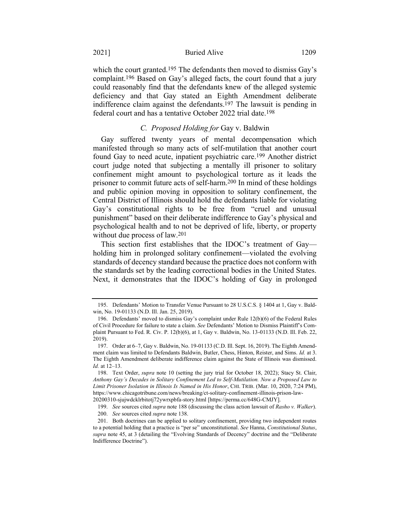2021] Buried Alive 1209

which the court granted.<sup>195</sup> The defendants then moved to dismiss Gay's complaint.196 Based on Gay's alleged facts, the court found that a jury could reasonably find that the defendants knew of the alleged systemic deficiency and that Gay stated an Eighth Amendment deliberate indifference claim against the defendants.197 The lawsuit is pending in federal court and has a tentative October 2022 trial date.198

## <span id="page-31-0"></span>*C. Proposed Holding for* Gay v. Baldwin

Gay suffered twenty years of mental decompensation which manifested through so many acts of self-mutilation that another court found Gay to need acute, inpatient psychiatric care. 199 Another district court judge noted that subjecting a mentally ill prisoner to solitary confinement might amount to psychological torture as it leads the prisoner to commit future acts of self-harm.200 In mind of these holdings and public opinion moving in opposition to solitary confinement, the Central District of Illinois should hold the defendants liable for violating Gay's constitutional rights to be free from "cruel and unusual punishment" based on their deliberate indifference to Gay's physical and psychological health and to not be deprived of life, liberty, or property without due process of law. 201

This section first establishes that the IDOC's treatment of Gay holding him in prolonged solitary confinement—violated the evolving standards of decency standard because the practice does not conform with the standards set by the leading correctional bodies in the United States. Next, it demonstrates that the IDOC's holding of Gay in prolonged

<sup>195.</sup> Defendants' Motion to Transfer Venue Pursuant to 28 U.S.C.S. § 1404 at 1, Gay v. Baldwin, No. 19-01133 (N.D. Ill. Jan. 25, 2019).

<sup>196.</sup> Defendants' moved to dismiss Gay's complaint under Rule 12(b)(6) of the Federal Rules of Civil Procedure for failure to state a claim. *See* Defendants' Motion to Dismiss Plaintiff's Complaint Pursuant to Fed. R. Civ. P. 12(b)(6), at 1, Gay v. Baldwin, No. 13-01133 (N.D. Ill. Feb. 22, 2019).

<sup>197.</sup> Order at 6–7, Gay v. Baldwin, No. 19-01133 (C.D. Ill. Sept. 16, 2019). The Eighth Amendment claim was limited to Defendants Baldwin, Butler, Chess, Hinton, Reister, and Sims. *Id.* at 3. The Eighth Amendment deliberate indifference claim against the State of Illinois was dismissed. *Id.* at 12–13.

<sup>198.</sup> Text Order, *supra* note [10](#page-4-1) (setting the jury trial for October 18, 2022); Stacy St. Clair, *Anthony Gay's Decades in Solitary Confinement Led to Self-Mutilation. Now a Proposed Law to Limit Prisoner Isolation in Illinois Is Named in His Honor*, CHI. TRIB. (Mar. 10, 2020, 7:24 PM), https://www.chicagotribune.com/news/breaking/ct-solitary-confinement-illinois-prison-law-20200310-sjujwdcklrbitotj72ywrxpbfa-story.html [https://perma.cc/648G-CMJY].

<sup>199.</sup> *See* sources cited *supra* not[e 188](#page-30-0) (discussing the class action lawsuit of *Rasho v. Walker*).

<sup>200.</sup> *See* sources cited *supra* not[e 138.](#page-23-2)

<sup>201.</sup> Both doctrines can be applied to solitary confinement, providing two independent routes to a potential holding that a practice is "per se" unconstitutional. *See* Hanna, *Constitutional Status*, *supra* note [45,](#page-10-0) at 3 (detailing the "Evolving Standards of Decency" doctrine and the "Deliberate Indifference Doctrine").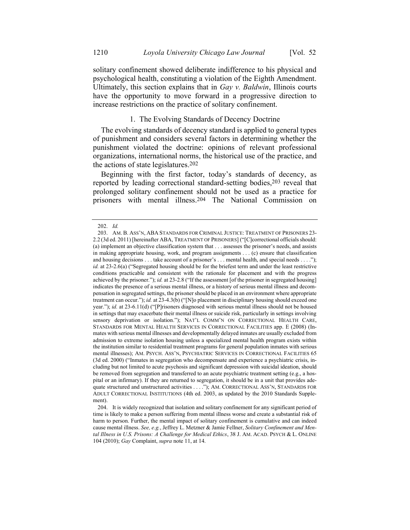solitary confinement showed deliberate indifference to his physical and psychological health, constituting a violation of the Eighth Amendment. Ultimately, this section explains that in *Gay v. Baldwin*, Illinois courts have the opportunity to move forward in a progressive direction to increase restrictions on the practice of solitary confinement.

# <span id="page-32-0"></span>1. The Evolving Standards of Decency Doctrine

The evolving standards of decency standard is applied to general types of punishment and considers several factors in determining whether the punishment violated the doctrine: opinions of relevant professional organizations, international norms, the historical use of the practice, and the actions of state legislatures. 202

Beginning with the first factor, today's standards of decency, as reported by leading correctional standard-setting bodies,203 reveal that prolonged solitary confinement should not be used as a practice for prisoners with mental illness. 204 The National Commission on

<span id="page-32-1"></span><sup>202.</sup> *Id.*

<sup>203.</sup> AM. B. ASS'N, ABA STANDARDS FOR CRIMINAL JUSTICE: TREATMENT OF PRISONERS 23- 2.2 (3d ed. 2011) [hereinafter ABA, TREATMENT OF PRISONERS] ("[C]correctional officials should: (a) implement an objective classification system that . . . assesses the prisoner's needs, and assists in making appropriate housing, work, and program assignments . . . (c) ensure that classification and housing decisions . . . take account of a prisoner's . . . mental health, and special needs . . . ."); *id.* at 23-2.6(a) ("Segregated housing should be for the briefest term and under the least restrictive conditions practicable and consistent with the rationale for placement and with the progress achieved by the prisoner."); *id.* at 23-2.8 ("If the assessment [of the prisoner in segregated housing] indicates the presence of a serious mental illness, or a history of serious mental illness and decompensation in segregated settings, the prisoner should be placed in an environment where appropriate treatment can occur."); *id.* at 23-4.3(b) ("[N]o placement in disciplinary housing should exceed one year."); *id.* at 23-6.11(d) ("[P]risoners diagnosed with serious mental illness should not be housed in settings that may exacerbate their mental illness or suicide risk, particularly in settings involving sensory deprivation or isolation."); NAT'L COMM'N ON CORRECTIONAL HEALTH CARE, STANDARDS FOR MENTAL HEALTH SERVICES IN CORRECTIONAL FACILITIES app. E (2008) (Inmates with serious mental illnesses and developmentally delayed inmates are usually excluded from admission to extreme isolation housing unless a specialized mental health program exists within the institution similar to residential treatment programs for general population inmates with serious mental illnesses); AM. PSYCH. ASS'N, PSYCHIATRIC SERVICES IN CORRECTIONAL FACILITIES 65 (3d ed. 2000) ("Inmates in segregation who decompensate and experience a psychiatric crisis, including but not limited to acute psychosis and significant depression with suicidal ideation, should be removed from segregation and transferred to an acute psychiatric treatment setting (e.g., a hospital or an infirmary). If they are returned to segregation, it should be in a unit that provides adequate structured and unstructured activities . . . ."); AM. CORRECTIONAL ASS'N, STANDARDS FOR ADULT CORRECTIONAL INSTITUTIONS (4th ed. 2003, as updated by the 2010 Standards Supplement).

<sup>204.</sup> It is widely recognized that isolation and solitary confinement for any significant period of time is likely to make a person suffering from mental illness worse and create a substantial risk of harm to person. Further, the mental impact of solitary confinement is cumulative and can indeed cause mental illness. *See, e.g.*, Jeffrey L. Metzner & Jamie Fellner, *Solitary Confinement and Mental Illness in U.S. Prisons: A Challenge for Medical Ethics*, 38 J. AM. ACAD. PSYCH & L. ONLINE 104 (2010); *Gay* Complaint, *supra* not[e 11,](#page-4-0) at 14.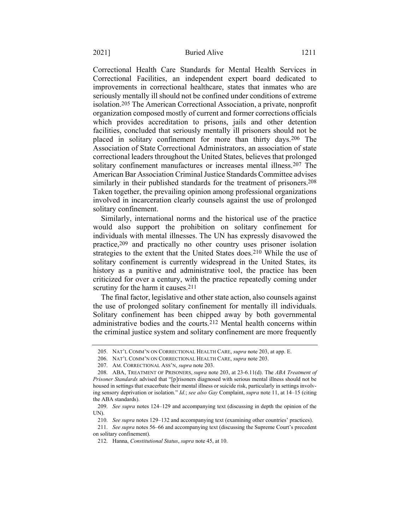Correctional Health Care Standards for Mental Health Services in Correctional Facilities, an independent expert board dedicated to improvements in correctional healthcare, states that inmates who are seriously mentally ill should not be confined under conditions of extreme isolation.205 The American Correctional Association, a private, nonprofit organization composed mostly of current and former corrections officials which provides accreditation to prisons, jails and other detention facilities, concluded that seriously mentally ill prisoners should not be placed in solitary confinement for more than thirty days.206 The Association of State Correctional Administrators, an association of state correctional leaders throughout the United States, believes that prolonged solitary confinement manufactures or increases mental illness.207 The American Bar Association Criminal Justice Standards Committee advises similarly in their published standards for the treatment of prisoners. 208 Taken together, the prevailing opinion among professional organizations involved in incarceration clearly counsels against the use of prolonged solitary confinement.

Similarly, international norms and the historical use of the practice would also support the prohibition on solitary confinement for individuals with mental illnesses. The UN has expressly disavowed the practice,209 and practically no other country uses prisoner isolation strategies to the extent that the United States does.210 While the use of solitary confinement is currently widespread in the United States, its history as a punitive and administrative tool, the practice has been criticized for over a century, with the practice repeatedly coming under scrutiny for the harm it causes.<sup>211</sup>

The final factor, legislative and other state action, also counsels against the use of prolonged solitary confinement for mentally ill individuals. Solitary confinement has been chipped away by both governmental administrative bodies and the courts.212 Mental health concerns within the criminal justice system and solitary confinement are more frequently

<sup>205.</sup> NAT'L COMM'N ON CORRECTIONAL HEALTH CARE, *supra* not[e 203,](#page-32-0) at app. E.

<sup>206.</sup> NAT'L COMM'N ON CORRECTIONAL HEALTH CARE, *supra* not[e 203.](#page-32-0) 

<sup>207.</sup> AM. CORRECTIONAL ASS'N, *supra* not[e 203.](#page-32-0)

<sup>208.</sup> ABA, TREATMENT OF PRISONERS, *supra* not[e 203,](#page-32-0) at 23-6.11(d). The *ABA Treatment of Prisoner Standards* advised that "[p]risoners diagnosed with serious mental illness should not be housed in settings that exacerbate their mental illness or suicide risk, particularly in settings involving sensory deprivation or isolation." *Id.*; *see also Gay* Complaint, *supra* note [11,](#page-4-0) at 14–15 (citing the ABA standards).

<sup>209.</sup> *See supra* notes [124](#page-20-1)–[129](#page-21-1) and accompanying text (discussing in depth the opinion of the UN).

<sup>210.</sup> *See supra* note[s 129](#page-21-1)–[132](#page-22-0) and accompanying text (examining other countries' practices).

<sup>211.</sup> *See supra* note[s 56](#page-11-0)–[66](#page-13-0) and accompanying text (discussing the Supreme Court's precedent on solitary confinement).

<sup>212.</sup> Hanna, *Constitutional Status*, *supra* not[e 45,](#page-10-0) at 10.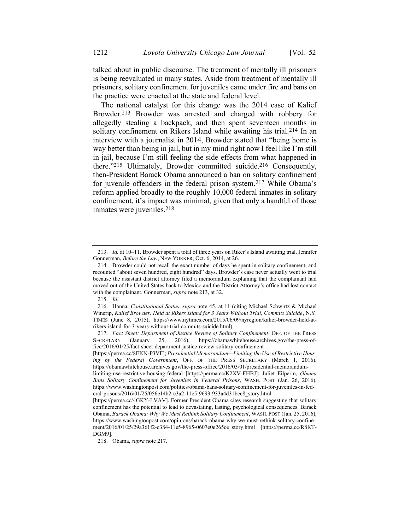talked about in public discourse. The treatment of mentally ill prisoners is being reevaluated in many states. Aside from treatment of mentally ill prisoners, solitary confinement for juveniles came under fire and bans on the practice were enacted at the state and federal level.

<span id="page-34-0"></span>The national catalyst for this change was the 2014 case of Kalief Browder.213 Browder was arrested and charged with robbery for allegedly stealing a backpack, and then spent seventeen months in solitary confinement on Rikers Island while awaiting his trial.<sup>214</sup> In an interview with a journalist in 2014, Browder stated that "being home is way better than being in jail, but in my mind right now I feel like I'm still in jail, because I'm still feeling the side effects from what happened in there."215 Ultimately, Browder committed suicide.<sup>216</sup> Consequently, then-President Barack Obama announced a ban on solitary confinement for juvenile offenders in the federal prison system.217 While Obama's reform applied broadly to the roughly 10,000 federal inmates in solitary confinement, it's impact was minimal, given that only a handful of those inmates were juveniles. 218

<span id="page-34-1"></span><sup>213.</sup> *Id.* at 10–11. Browder spent a total of three years on Riker's Island awaiting trial. Jennifer Gonnerman, *Before the Law*, NEW YORKER, Oct. 6, 2014, at 26.

<sup>214.</sup> Browder could not recall the exact number of days he spent in solitary confinement, and recounted "about seven hundred, eight hundred" days. Browder's case never actually went to trial because the assistant district attorney filed a memorandum explaining that the complainant had moved out of the United States back to Mexico and the District Attorney's office had lost contact with the complainant. Gonnerman, *supra* not[e 213,](#page-34-0) at 32.

<sup>215.</sup> *Id.*

<sup>216.</sup> Hanna, *Constitutional Status*, *supra* note [45,](#page-10-0) at 11 (citing Michael Schwirtz & Michael Winerip, *Kalief Browder, Held at Rikers Island for 3 Years Without Trial, Commits Suicide*, N.Y. TIMES (June 8, 2015), https://www.nytimes.com/2015/06/09/nyregion/kalief-browder-held-atrikers-island-for-3-years-without-trial-commits-suicide.html).

<sup>217.</sup> *Fact Sheet: Department of Justice Review of Solitary Confinement*, OFF. OF THE PRESS SECRETARY (January 25, 2016), https://obamawhitehouse.archives.gov/the-press-office/2016/01/25/fact-sheet-department-justice-review-solitary-confinement

<sup>[</sup>https://perma.cc/8EKN-P3VF]; *Presidential Memorandum—Limiting the Use of Restrictive Housing by the Federal Government*, OFF. OF THE PRESS SECRETARY (March 1, 2016), https://obamawhitehouse.archives.gov/the-press-office/2016/03/01/presidential-memorandum-

limiting-use-restrictive-housing-federal [https://perma.cc/K2XV-FHBJ]; Juliet Eilperin, *Obama Bans Solitary Confinement for Juveniles in Federal Prisons*, WASH. POST (Jan. 26, 2016), https://www.washingtonpost.com/politics/obama-bans-solitary-confinement-for-juveniles-in-federal-prisons/2016/01/25/056e14b2-c3a2-11e5-9693-933a4d31bcc8\_story.html

<sup>[</sup>https://perma.cc/4GKY-LVAV]. Former President Obama cites research suggesting that solitary confinement has the potential to lead to devastating, lasting, psychological consequences. Barack Obama, *Barack Obama: Why We Must Rethink Solitary Confinement*, WASH. POST (Jan. 25, 2016), https://www.washingtonpost.com/opinions/barack-obama-why-we-must-rethink-solitary-confinement/2016/01/25/29a361f2-c384-11e5-8965-0607e0e265ce\_story.html [https://perma.cc/R8KT-DGM9].

<sup>218.</sup> Obama, *supra* not[e 217.](#page-34-1)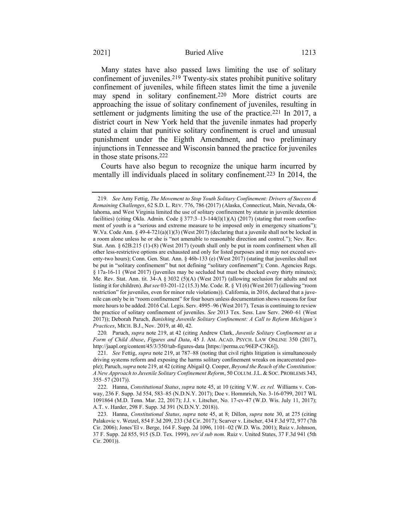<span id="page-35-0"></span>Many states have also passed laws limiting the use of solitary confinement of juveniles.219 Twenty-six states prohibit punitive solitary confinement of juveniles, while fifteen states limit the time a juvenile may spend in solitary confinement.220 More district courts are approaching the issue of solitary confinement of juveniles, resulting in settlement or judgments limiting the use of the practice.<sup>221</sup> In 2017, a district court in New York held that the juvenile inmates had properly stated a claim that punitive solitary confinement is cruel and unusual punishment under the Eighth Amendment, and two preliminary injunctions in Tennessee and Wisconsin banned the practice for juveniles in those state prisons.222

Courts have also begun to recognize the unique harm incurred by mentally ill individuals placed in solitary confinement.223 In 2014, the

220*.* Paruch, *supra* not[e 219,](#page-35-0) at 42 (citing Andrew Clark, *Juvenile Solitary Confinement as a Form of Child Abuse*, *Figures and Data*, 45 J. AM. ACAD. PSYCH. LAW ONLINE 350 (2017), http://jaapl.org/content/45/3/350/tab-figures-data [https://perma.cc/96EP-C3K6]).

<sup>219.</sup> *See* Amy Fettig, *The Movement to Stop Youth Solitary Confinement: Drivers of Success & Remaining Challenges*, 62 S.D. L. REV. 776, 786 (2017) (Alaska, Connecticut, Main, Nevada, Oklahoma, and West Virginia limited the use of solitary confinement by statute in juvenile detention facilities) (citing Okla. Admin. Code § 377:3-13-144(1)(1)(A) (2017) (stating that room confinement of youth is a "serious and extreme measure to be imposed only in emergency situations"); W.Va. Code Ann. § 49-4-721(a)(1)(3) (West 2017) (declaring that a juvenile shall not be locked in a room alone unless he or she is "not amenable to reasonable direction and control."); Nev. Rev. Stat. Ann. § 62B.215 (1)-(8) (West 2017) (youth shall only be put in room confinement when all other less-restrictive options are exhausted and only for listed purposes and it may not exceed seventy-two hours); Conn. Gen. Stat. Ann. § 46b-133 (e) (West 2017) (stating that juveniles shall not be put in "solitary confinement" but not defining "solitary confinement"); Conn. Agencies Regs. § 17a-16-11 (West 2017) (juveniles may be secluded but must be checked every thirty minutes); Me. Rev. Stat. Ann. tit. 34-A § 3032 (5)(A) (West 2017) (allowing seclusion for adults and not listing it for children). *But see* 03-201-12 (15.3) Me. Code. R. § VI (6) (West 2017) (allowing "room restriction" for juveniles, even for minor rule violations)). California, in 2016, declared that a juvenile can only be in "room confinement" for four hours unless documentation shows reasons for four more hours to be added. 2016 Cal. Legis. Serv. 4995–96 (West 2017). Texas is continuing to review the practice of solitary confinement of juveniles. *See* 2013 Tex. Sess. Law Serv. 2960–61 (West 2017)); Deborah Paruch, *Banishing Juvenile Solitary Confinement: A Call to Reform Michigan's Practices*, MICH. B.J., Nov. 2019, at 40, 42.

<sup>221.</sup> *See* Fettig, *supra* not[e 219,](#page-35-0) at 787–88 (noting that civil rights litigation is simultaneously driving systems reform and exposing the harms solitary confinement wreaks on incarcerated people); Paruch, *supra* not[e 219,](#page-35-0) at 42 (citing Abigail Q. Cooper, *Beyond the Reach of the Constitution: A New Approach to Juvenile Solitary Confinement Reform*, 50 COLUM.J.L. &SOC. PROBLEMS 343, 355–57 (2017)).

<sup>222.</sup> Hanna, *Constitutional Status*, *supra* not[e 45,](#page-10-0) at 10 (citing V.W. *ex rel.* Williams v. Conway, 236 F. Supp. 3d 554, 583–85 (N.D.N.Y. 2017); Doe v. Hommrich, No. 3-16-0799, 2017 WL 1091864 (M.D. Tenn. Mar. 22, 2017); J.J. v. Litscher, No. 17-cv-47 (W.D. Wis. July 11, 2017); A.T. v. Harder, 298 F. Supp. 3d 391 (N.D.N.Y. 2018)).

<sup>223.</sup> Hanna, *Constitutional Status*, *supra* note [45,](#page-10-0) at 8; Dillon, *supra* note [30,](#page-7-0) at 275 (citing Palakovic v. Wetzel, 854 F.3d 209, 233 (3d Cir. 2017); Scarver v. Litscher, 434 F.3d 972, 977 (7th Cir. 2006); Jones'El v. Berge, 164 F. Supp. 2d 1096, 1101–02 (W.D. Wis. 2001); Ruiz v. Johnson, 37 F. Supp. 2d 855, 915 (S.D. Tex. 1999), *rev'd sub nom.* Ruiz v. United States, 37 F.3d 941 (5th Cir. 2001)).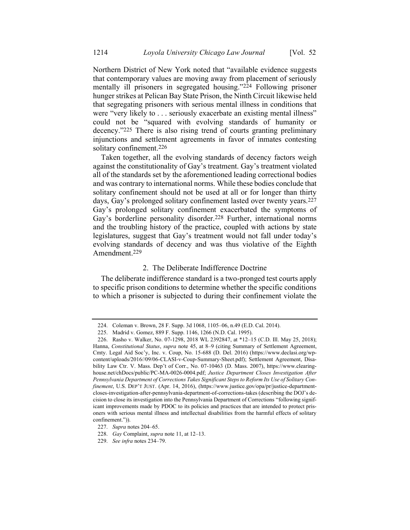Northern District of New York noted that "available evidence suggests that contemporary values are moving away from placement of seriously mentally ill prisoners in segregated housing."224 Following prisoner hunger strikes at Pelican Bay State Prison, the Ninth Circuit likewise held that segregating prisoners with serious mental illness in conditions that were "very likely to . . . seriously exacerbate an existing mental illness" could not be "squared with evolving standards of humanity or decency."225 There is also rising trend of courts granting preliminary injunctions and settlement agreements in favor of inmates contesting solitary confinement.226

Taken together, all the evolving standards of decency factors weigh against the constitutionality of Gay's treatment. Gay's treatment violated all of the standards set by the aforementioned leading correctional bodies and was contrary to international norms. While these bodies conclude that solitary confinement should not be used at all or for longer than thirty days, Gay's prolonged solitary confinement lasted over twenty years.227 Gay's prolonged solitary confinement exacerbated the symptoms of Gay's borderline personality disorder.<sup>228</sup> Further, international norms and the troubling history of the practice, coupled with actions by state legislatures, suggest that Gay's treatment would not fall under today's evolving standards of decency and was thus violative of the Eighth Amendment.229

#### 2. The Deliberate Indifference Doctrine

The deliberate indifference standard is a two-pronged test courts apply to specific prison conditions to determine whether the specific conditions to which a prisoner is subjected to during their confinement violate the

<sup>224.</sup> Coleman v. Brown, 28 F. Supp. 3d 1068, 1105–06, n.49 (E.D. Cal. 2014).

<sup>225.</sup> Madrid v. Gomez, 889 F. Supp. 1146, 1266 (N.D. Cal. 1995).

<sup>226.</sup> Rasho v. Walker, No. 07-1298, 2018 WL 2392847, at \*12–15 (C.D. Ill. May 25, 2018); Hanna, *Constitutional Status*, *supra* note [45,](#page-10-0) at 8–9 (citing Summary of Settlement Agreement, Cmty. Legal Aid Soc'y, Inc. v. Coup, No. 15-688 (D. Del. 2016) [\(https://www.declasi.org/wp](https://www.declasi.org/wp-content/uploads/2016/09/06-CLASI-v-Coup-Summary-Sheet.pdf)[content/uploads/2016//09/06-CLASI-v-Coup-Summary-Sheet.pdf\)](https://www.declasi.org/wp-content/uploads/2016/09/06-CLASI-v-Coup-Summary-Sheet.pdf); Settlement Agreement, Disability Law Ctr. V. Mass. Dep't of Corr., No. 07-10463 (D. Mass. 2007), [https://www.clearing](https://www.clearinghouse.net/chDocs/public/PC-MA-0026-0004.pdf)[house.net/chDocs/public/PC-MA-0026-0004.pdf;](https://www.clearinghouse.net/chDocs/public/PC-MA-0026-0004.pdf) *Justice Department Closes Investigation After Pennsylvania Department of Corrections Takes Significant Steps to Reform Its Use of Solitary Confinement*, U.S. DEP'T JUST. (Apr. 14, 2016), [\(https://www.justice.gov/opa/pr/justice-department](https://www.justice.gov/opa/pr/justice-department-closes-investigation-after-pennsylvania-department-of-corrections-takes)[closes-investigation-after-pennsylvania-department-of-corrections-takes](https://www.justice.gov/opa/pr/justice-department-closes-investigation-after-pennsylvania-department-of-corrections-takes) (describing the DOJ's decision to close its investigation into the Pennsylvania Department of Corrections "following significant improvements made by PDOC to its policies and practices that are intended to protect prisoners with serious mental illness and intellectual disabilities from the harmful effects of solitary confinement.")).

<sup>227.</sup> *Supra* note[s 204](#page-32-1)–65.

<sup>228.</sup> *Gay* Complaint, *supra* not[e 11,](#page-4-0) at 12–13.

<sup>229.</sup> *See infra* note[s 234](#page-37-0)–79.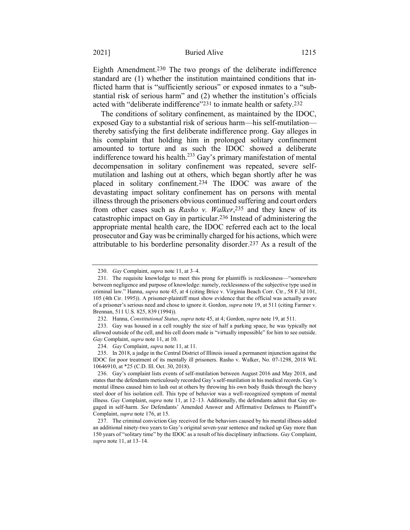Eighth Amendment.230 The two prongs of the deliberate indifference standard are (1) whether the institution maintained conditions that inflicted harm that is "sufficiently serious" or exposed inmates to a "substantial risk of serious harm" and (2) whether the institution's officials acted with "deliberate indifference"<sup>231</sup> to inmate health or safety.<sup>232</sup>

<span id="page-37-0"></span>The conditions of solitary confinement, as maintained by the IDOC, exposed Gay to a substantial risk of serious harm—his self-mutilation thereby satisfying the first deliberate indifference prong. Gay alleges in his complaint that holding him in prolonged solitary confinement amounted to torture and as such the IDOC showed a deliberate indifference toward his health.<sup>233</sup> Gay's primary manifestation of mental decompensation in solitary confinement was repeated, severe selfmutilation and lashing out at others, which began shortly after he was placed in solitary confinement.234 The IDOC was aware of the devastating impact solitary confinement has on persons with mental illness through the prisoners obvious continued suffering and court orders from other cases such as *Rasho v. Walker*, 235 and they knew of its catastrophic impact on Gay in particular.236 Instead of administering the appropriate mental health care, the IDOC referred each act to the local prosecutor and Gay was be criminally charged for his actions, which were attributable to his borderline personality disorder. 237 As a result of the

<sup>230.</sup> *Gay* Complaint, *supra* not[e 11,](#page-4-0) at 3–4.

<sup>231.</sup> The requisite knowledge to meet this prong for plaintiffs is recklessness—"somewhere between negligence and purpose of knowledge: namely, recklessness of the subjective type used in criminal law." Hanna, *supra* not[e 45,](#page-10-0) at 4 (citing Brice v. Virginia Beach Corr. Ctr., 58 F.3d 101, 105 (4th Cir. 1995)). A prisoner-plaintiff must show evidence that the official was actually aware of a prisoner's serious need and chose to ignore it. Gordon, *supra* note [19,](#page-5-0) at 511 (citing Farmer v. Brennan, 511 U.S. 825, 839 (1994)).

<sup>232.</sup> Hanna, *Constitutional Status*, *supra* not[e 45,](#page-10-0) at 4; Gordon, *supra* not[e 19,](#page-5-0) at 511.

<sup>233.</sup> Gay was housed in a cell roughly the size of half a parking space, he was typically not allowed outside of the cell, and his cell doors made is "virtually impossible" for him to see outside. *Gay* Complaint, *supra* not[e 11,](#page-4-0) at 10.

<sup>234.</sup> *Gay* Complaint, *supra* not[e 11,](#page-4-0) at 11.

<sup>235.</sup> In 2018, a judge in the Central District of Illinois issued a permanent injunction against the IDOC for poor treatment of its mentally ill prisoners. Rasho v. Walker, No. 07-1298, 2018 WL 10646910, at \*25 (C.D. Ill. Oct. 30, 2018).

<sup>236.</sup> Gay's complaint lists events of self-mutilation between August 2016 and May 2018, and states that the defendants meticulously recorded Gay's self-mutilation in his medical records. Gay's mental illness caused him to lash out at others by throwing his own body fluids through the heavy steel door of his isolation cell. This type of behavior was a well-recognized symptom of mental illness. *Gay* Complaint, *supra* note [11,](#page-4-0) at 12–13. Additionally, the defendants admit that Gay engaged in self-harm. *See* Defendants' Amended Answer and Affirmative Defenses to Plaintiff's Complaint, *supra* not[e 176,](#page-28-1) at 15.

<sup>237.</sup> The criminal conviction Gay received for the behaviors caused by his mental illness added an additional ninety-two years to Gay's original seven-year sentence and racked up Gay more than 150 years of "solitary time" by the IDOC as a result of his disciplinary infractions. *Gay* Complaint, *supra* not[e 11,](#page-4-0) at 13–14.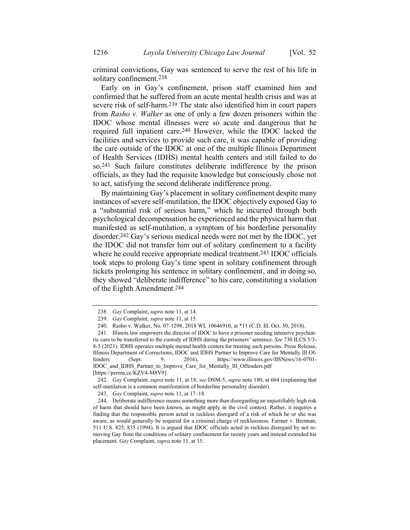criminal convictions, Gay was sentenced to serve the rest of his life in solitary confinement.238

Early on in Gay's confinement, prison staff examined him and confirmed that he suffered from an acute mental health crisis and was at severe risk of self-harm.239 The state also identified him in court papers from *Rasho v. Walker* as one of only a few dozen prisoners within the IDOC whose mental illnesses were so acute and dangerous that he required full inpatient care.240 However, while the IDOC lacked the facilities and services to provide such care, it was capable of providing the care outside of the IDOC at one of the multiple Illinois Department of Health Services (IDHS) mental health centers and still failed to do so.241 Such failure constitutes deliberate indifference by the prison officials, as they had the requisite knowledge but consciously chose not to act, satisfying the second deliberate indifference prong.

By maintaining Gay's placement in solitary confinement despite many instances of severe self-mutilation, the IDOC objectively exposed Gay to a "substantial risk of serious harm," which he incurred through both psychological decompensation he experienced and the physical harm that manifested as self-mutilation, a symptom of his borderline personality disorder. 242 Gay's serious medical needs were not met by the IDOC, yet the IDOC did not transfer him out of solitary confinement to a facility where he could receive appropriate medical treatment. 243 IDOC officials took steps to prolong Gay's time spent in solitary confinement through tickets prolonging his sentence in solitary confinement, and in doing so, they showed "deliberate indifference" to his care, constituting a violation of the Eighth Amendment.244

<sup>238.</sup> *Gay* Complaint, *supra* not[e 11,](#page-4-0) at 14.

<sup>239.</sup> *Gay* Complaint, *supra* not[e 11,](#page-4-0) at 15.

<sup>240.</sup> Rasho v. Walker, No. 07-1298, 2018 WL 10646910, at \*11 (C.D. Ill. Oct. 30, 2018).

<sup>241.</sup> Illinois law empowers the director of IDOC to have a prisoner needing intensive psychiatric care to be transferred to the custody of IDHS during the prisoners' sentence. *See* 730 ILCS 5/3- 8-5 (2021). IDHS operates multiple mental health centers for treating such persons. Press Release, Illinois Department of Corrections, IDOC and IDHS Partner to Improve Care for Mentally Ill Offenders (Sept. 9, 2016), https://www.illinois.gov/IISNews/16-0701- IDOC\_and\_IDHS\_Partner\_to\_Improve\_Care\_for\_Mentally\_Ill\_Offenders.pdf [https://perma.cc/KZV4-M8V9].

<sup>242.</sup> *Gay* Complaint, *supra* note [11,](#page-4-0) at 18; *see* DSM-5, *supra* note [180,](#page-28-2) at 664 (explaining that self-mutilation is a common manifestation of borderline personality disorder).

<sup>243.</sup> *Gay* Complaint, *supra* not[e 11,](#page-4-0) at 17–18.

<sup>244.</sup> Deliberate indifference means something more than disregarding an unjustifiably high risk of harm that should have been known, as might apply in the civil context. Rather, it requires a finding that the responsible person acted in reckless disregard of a risk of which he or she was aware, as would generally be required for a criminal charge of recklessness. Farmer v. Brennan, 511 U.S. 825, 835 (1994). It is argued that IDOC officials acted in reckless disregard by not removing Gay from the conditions of solitary confinement for twenty years and instead extended his placement. *Gay* Complaint, *supra* note [11,](#page-4-0) at 15.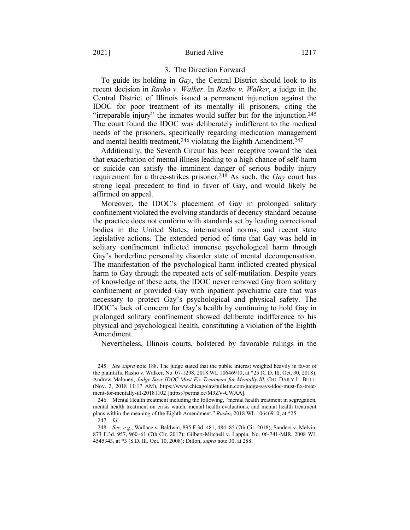#### 2021] Buried Alive 1217

# <span id="page-39-0"></span>3. The Direction Forward

To guide its holding in *Gay*, the Central District should look to its recent decision in *Rasho v. Walker*. In *Rasho v. Walker*, a judge in the Central District of Illinois issued a permanent injunction against the IDOC for poor treatment of its mentally ill prisoners, citing the "irreparable injury" the inmates would suffer but for the injunction. 245 The court found the IDOC was deliberately indifferent to the medical needs of the prisoners, specifically regarding medication management and mental health treatment, <sup>246</sup> violating the Eighth Amendment.<sup>247</sup>

Additionally, the Seventh Circuit has been receptive toward the idea that exacerbation of mental illness leading to a high chance of self-harm or suicide can satisfy the imminent danger of serious bodily injury requirement for a three-strikes prisoner.248 As such, the *Gay* court has strong legal precedent to find in favor of Gay, and would likely be affirmed on appeal.

Moreover, the IDOC's placement of Gay in prolonged solitary confinement violated the evolving standards of decency standard because the practice does not conform with standards set by leading correctional bodies in the United States, international norms, and recent state legislative actions. The extended period of time that Gay was held in solitary confinement inflicted immense psychological harm through Gay's borderline personality disorder state of mental decompensation. The manifestation of the psychological harm inflicted created physical harm to Gay through the repeated acts of self-mutilation. Despite years of knowledge of these acts, the IDOC never removed Gay from solitary confinement or provided Gay with inpatient psychiatric care that was necessary to protect Gay's psychological and physical safety. The IDOC's lack of concern for Gay's health by continuing to hold Gay in prolonged solitary confinement showed deliberate indifference to his physical and psychological health, constituting a violation of the Eighth Amendment.

Nevertheless, Illinois courts, bolstered by favorable rulings in the

<sup>245.</sup> *See supra* note [188.](#page-30-0) The judge stated that the public interest weighed heavily in favor of the plaintiffs. Rasho v. Walker, No. 07-1298, 2018 WL 10646910, at \*25 (C.D. Ill. Oct. 30, 2018); Andrew Maloney, *Judge Says IDOC Must Fix Treatment for Mentally Ill*, CHI. DAILY L. BULL. (Nov. 2, 2018 11:17 AM), https://www.chicagolawbulletin.com/judge-says-idoc-must-fix-treatment-for-mentally-ill-20181102 [https://perma.cc/M9ZV-CWAA].

<sup>246.</sup> Mental Health treatment including the following, "mental health treatment in segregation, mental health treatment on crisis watch, mental health evaluations, and mental health treatment plans within the meaning of the Eighth Amendment." *Rasho*, 2018 WL 10646910, at \*25.

<sup>247.</sup> *Id.*

<sup>248.</sup> *See, e.g.*, Wallace v. Baldwin, 895 F.3d. 481, 484–85 (7th Cir. 2018); Sanders v. Melvin, 873 F.3d. 957, 960–61 (7th Cir. 2017); Gilbert-Mitchell v. Lappin, No. 06-741-MJR, 2008 WL 4545343, at \*3 (S.D. Ill. Oct. 10, 2008); Dillon, *supra* not[e 30,](#page-7-0) at 288.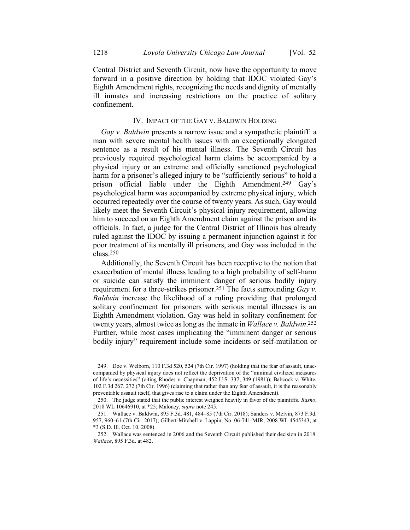Central District and Seventh Circuit, now have the opportunity to move forward in a positive direction by holding that IDOC violated Gay's Eighth Amendment rights, recognizing the needs and dignity of mentally ill inmates and increasing restrictions on the practice of solitary confinement.

#### IV. IMPACT OF THE GAY V. BALDWIN HOLDING

*Gay v. Baldwin* presents a narrow issue and a sympathetic plaintiff: a man with severe mental health issues with an exceptionally elongated sentence as a result of his mental illness. The Seventh Circuit has previously required psychological harm claims be accompanied by a physical injury or an extreme and officially sanctioned psychological harm for a prisoner's alleged injury to be "sufficiently serious" to hold a prison official liable under the Eighth Amendment.<sup>249</sup> Gay's psychological harm was accompanied by extreme physical injury, which occurred repeatedly over the course of twenty years. As such, Gay would likely meet the Seventh Circuit's physical injury requirement, allowing him to succeed on an Eighth Amendment claim against the prison and its officials. In fact, a judge for the Central District of Illinois has already ruled against the IDOC by issuing a permanent injunction against it for poor treatment of its mentally ill prisoners, and Gay was included in the class.250

Additionally, the Seventh Circuit has been receptive to the notion that exacerbation of mental illness leading to a high probability of self-harm or suicide can satisfy the imminent danger of serious bodily injury requirement for a three-strikes prisoner.251 The facts surrounding *Gay v. Baldwin* increase the likelihood of a ruling providing that prolonged solitary confinement for prisoners with serious mental illnesses is an Eighth Amendment violation. Gay was held in solitary confinement for twenty years, almost twice as long as the inmate in *Wallace v. Baldwin*. 252 Further, while most cases implicating the "imminent danger or serious bodily injury" requirement include some incidents or self-mutilation or

<sup>249.</sup> Doe v. Welborn, 110 F.3d 520, 524 (7th Cir. 1997) (holding that the fear of assault, unaccompanied by physical injury does not reflect the deprivation of the "minimal civilized measures of life's necessities" (citing Rhodes v. Chapman, 452 U.S. 337, 349 (1981)); Babcock v. White, 102 F.3d 267, 272 (7th Cir. 1996) (claiming that rather than any fear of assault, it is the reasonably preventable assault itself, that gives rise to a claim under the Eighth Amendment).

<sup>250.</sup> The judge stated that the public interest weighed heavily in favor of the plaintiffs. *Rasho*, 2018 WL 10646910, at \*25; Maloney, *supra* note [245.](#page-39-0)

<sup>251.</sup> Wallace v. Baldwin, 895 F.3d. 481, 484–85 (7th Cir. 2018); Sanders v. Melvin, 873 F.3d. 957, 960–61 (7th Cir. 2017); Gilbert-Mitchell v. Lappin, No. 06-741-MJR, 2008 WL 4545343, at \*3 (S.D. Ill. Oct. 10, 2008).

<sup>252.</sup> Wallace was sentenced in 2006 and the Seventh Circuit published their decision in 2018. *Wallace*, 895 F.3d. at 482.